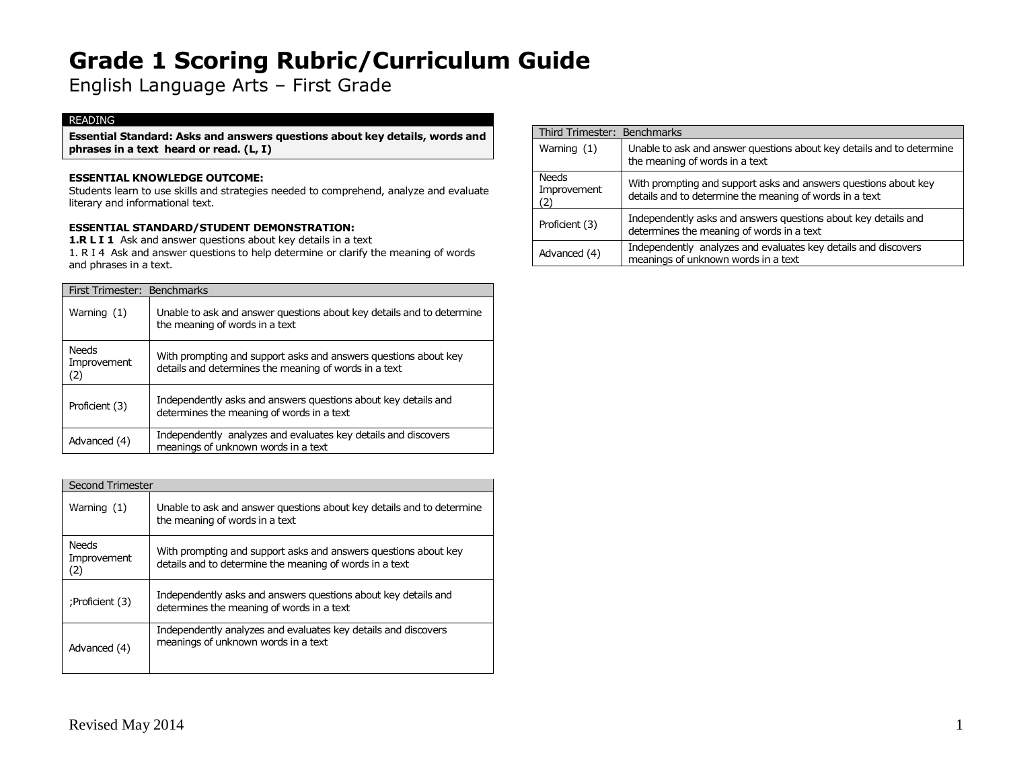English Language Arts – First Grade

### READING

**Essential Standard: Asks and answers questions about key details, words and phrases in a text heard or read. (L, I)**

#### **ESSENTIAL KNOWLEDGE OUTCOME:**

Students learn to use skills and strategies needed to comprehend, analyze and evaluate literary and informational text.

### **ESSENTIAL STANDARD/STUDENT DEMONSTRATION:**

1.R L I 1 Ask and answer questions about key details in a text

1. R I 4 Ask and answer questions to help determine or clarify the meaning of words and phrases in a text.

| First Trimester: Benchmarks |                                    |                                                                                                                          |
|-----------------------------|------------------------------------|--------------------------------------------------------------------------------------------------------------------------|
|                             | Warning (1)                        | Unable to ask and answer questions about key details and to determine<br>the meaning of words in a text                  |
|                             | <b>Needs</b><br>Improvement<br>(2) | With prompting and support asks and answers questions about key<br>details and determines the meaning of words in a text |
|                             | Proficient (3)                     | Independently asks and answers questions about key details and<br>determines the meaning of words in a text              |
|                             | Advanced (4)                       | Independently analyzes and evaluates key details and discovers<br>meanings of unknown words in a text                    |

| Second Trimester |                                    |                                                                                                                            |
|------------------|------------------------------------|----------------------------------------------------------------------------------------------------------------------------|
|                  | Warning $(1)$                      | Unable to ask and answer questions about key details and to determine<br>the meaning of words in a text                    |
|                  | <b>Needs</b><br>Improvement<br>(2) | With prompting and support asks and answers questions about key<br>details and to determine the meaning of words in a text |
|                  | :Proficient (3)                    | Independently asks and answers questions about key details and<br>determines the meaning of words in a text                |
|                  | Advanced (4)                       | Independently analyzes and evaluates key details and discovers<br>meanings of unknown words in a text                      |

|                             | Third Trimester: Benchmarks                                                                                                |  |
|-----------------------------|----------------------------------------------------------------------------------------------------------------------------|--|
| Warning $(1)$               | Unable to ask and answer questions about key details and to determine<br>the meaning of words in a text                    |  |
| <b>Needs</b><br>Improvement | With prompting and support asks and answers questions about key<br>details and to determine the meaning of words in a text |  |
| Proficient (3)              | Independently asks and answers questions about key details and<br>determines the meaning of words in a text                |  |
| Advanced (4)                | Independently analyzes and evaluates key details and discovers<br>meanings of unknown words in a text                      |  |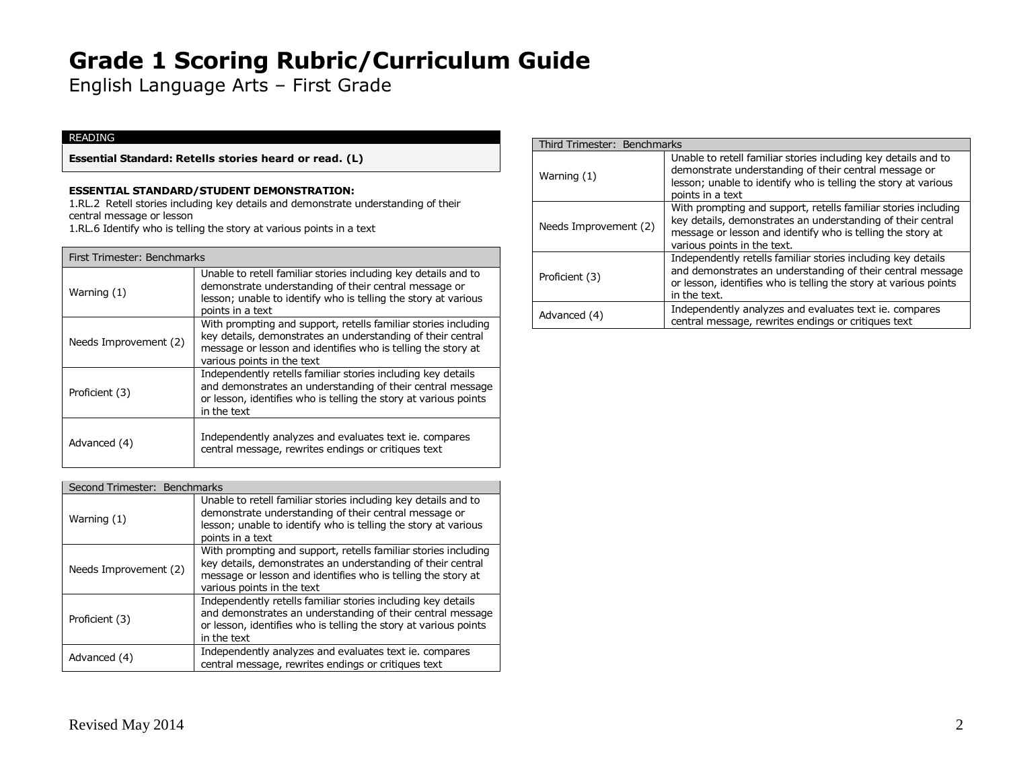English Language Arts – First Grade

### READING

**Essential Standard: Retells stories heard or read. (L)**

#### **ESSENTIAL STANDARD/STUDENT DEMONSTRATION:**

1.RL.2 Retell stories including key details and demonstrate understanding of their central message or lesson

1.RL.6 Identify who is telling the story at various points in a text

| First Trimester: Benchmarks |                                                                                                                                                                                                                             |
|-----------------------------|-----------------------------------------------------------------------------------------------------------------------------------------------------------------------------------------------------------------------------|
| Warning $(1)$               | Unable to retell familiar stories including key details and to<br>demonstrate understanding of their central message or<br>lesson; unable to identify who is telling the story at various<br>points in a text               |
| Needs Improvement (2)       | With prompting and support, retells familiar stories including<br>key details, demonstrates an understanding of their central<br>message or lesson and identifies who is telling the story at<br>various points in the text |
| Proficient (3)              | Independently retells familiar stories including key details<br>and demonstrates an understanding of their central message<br>or lesson, identifies who is telling the story at various points<br>in the text               |
| Advanced (4)                | Independently analyzes and evaluates text ie. compares<br>central message, rewrites endings or critiques text                                                                                                               |

| Second Trimester: Benchmarks |                                                                                                                                                                                                                             |
|------------------------------|-----------------------------------------------------------------------------------------------------------------------------------------------------------------------------------------------------------------------------|
| Warning $(1)$                | Unable to retell familiar stories including key details and to<br>demonstrate understanding of their central message or<br>lesson; unable to identify who is telling the story at various<br>points in a text               |
| Needs Improvement (2)        | With prompting and support, retells familiar stories including<br>key details, demonstrates an understanding of their central<br>message or lesson and identifies who is telling the story at<br>various points in the text |
| Proficient (3)               | Independently retells familiar stories including key details<br>and demonstrates an understanding of their central message<br>or lesson, identifies who is telling the story at various points<br>in the text               |
| Advanced (4)                 | Independently analyzes and evaluates text ie. compares<br>central message, rewrites endings or critiques text                                                                                                               |

|  | Third Trimester: Benchmarks |                                                                                                                                                                                                                            |
|--|-----------------------------|----------------------------------------------------------------------------------------------------------------------------------------------------------------------------------------------------------------------------|
|  | Warning (1)                 | Unable to retell familiar stories including key details and to<br>demonstrate understanding of their central message or<br>lesson; unable to identify who is telling the story at various<br>points in a text              |
|  | Needs Improvement (2)       | With prompting and support, retells familiar stories including<br>key details, demonstrates an understanding of their central<br>message or lesson and identify who is telling the story at<br>various points in the text. |
|  | Proficient (3)              | Independently retells familiar stories including key details<br>and demonstrates an understanding of their central message<br>or lesson, identifies who is telling the story at various points<br>in the text.             |
|  | Advanced (4)                | Independently analyzes and evaluates text ie. compares<br>central message, rewrites endings or critiques text                                                                                                              |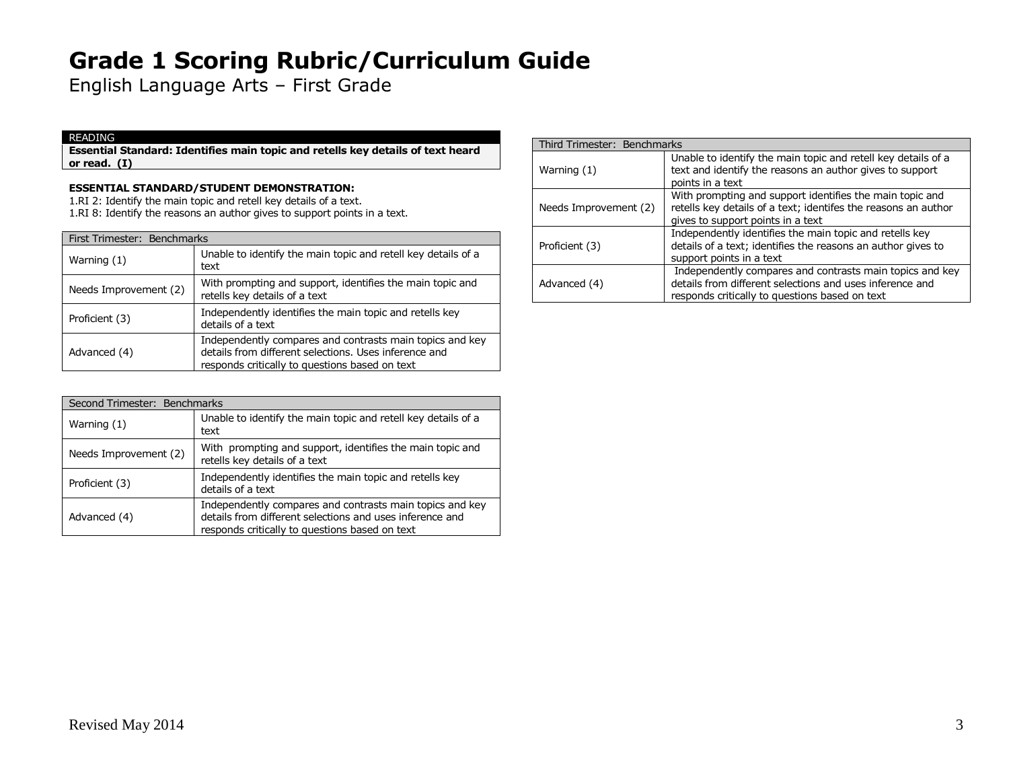English Language Arts – First Grade

#### READING

**Essential Standard: Identifies main topic and retells key details of text heard or read. (I)**

### **ESSENTIAL STANDARD/STUDENT DEMONSTRATION:**

1.RI 2: Identify the main topic and retell key details of a text.

1.RI 8: Identify the reasons an author gives to support points in a text.

|                       | First Trimester: Benchmarks                                                                                                                                         |  |  |
|-----------------------|---------------------------------------------------------------------------------------------------------------------------------------------------------------------|--|--|
| Warning (1)           | Unable to identify the main topic and retell key details of a<br>text                                                                                               |  |  |
| Needs Improvement (2) | With prompting and support, identifies the main topic and<br>retells key details of a text                                                                          |  |  |
| Proficient (3)        | Independently identifies the main topic and retells key<br>details of a text                                                                                        |  |  |
| Advanced (4)          | Independently compares and contrasts main topics and key<br>details from different selections. Uses inference and<br>responds critically to questions based on text |  |  |

| Second Trimester: Benchmarks |                                                                                                                                                                        |  |
|------------------------------|------------------------------------------------------------------------------------------------------------------------------------------------------------------------|--|
| Warning (1)                  | Unable to identify the main topic and retell key details of a<br>text                                                                                                  |  |
| Needs Improvement (2)        | With prompting and support, identifies the main topic and<br>retells key details of a text                                                                             |  |
| Proficient (3)               | Independently identifies the main topic and retells key<br>details of a text                                                                                           |  |
| Advanced (4)                 | Independently compares and contrasts main topics and key<br>details from different selections and uses inference and<br>responds critically to questions based on text |  |

#### Third Trimester: Benchmarks Warning (1) Unable to identify the main topic and retell key details of a text and identify the reasons an author gives to support points in a text Needs Improvement (2) With prompting and support identifies the main topic and retells key details of a text; identifes the reasons an author gives to support points in a text Proficient (3) Independently identifies the main topic and retells key details of a text; identifies the reasons an author gives to support points in a text Advanced (4) Independently compares and contrasts main topics and key details from different selections and uses inference and responds critically to questions based on text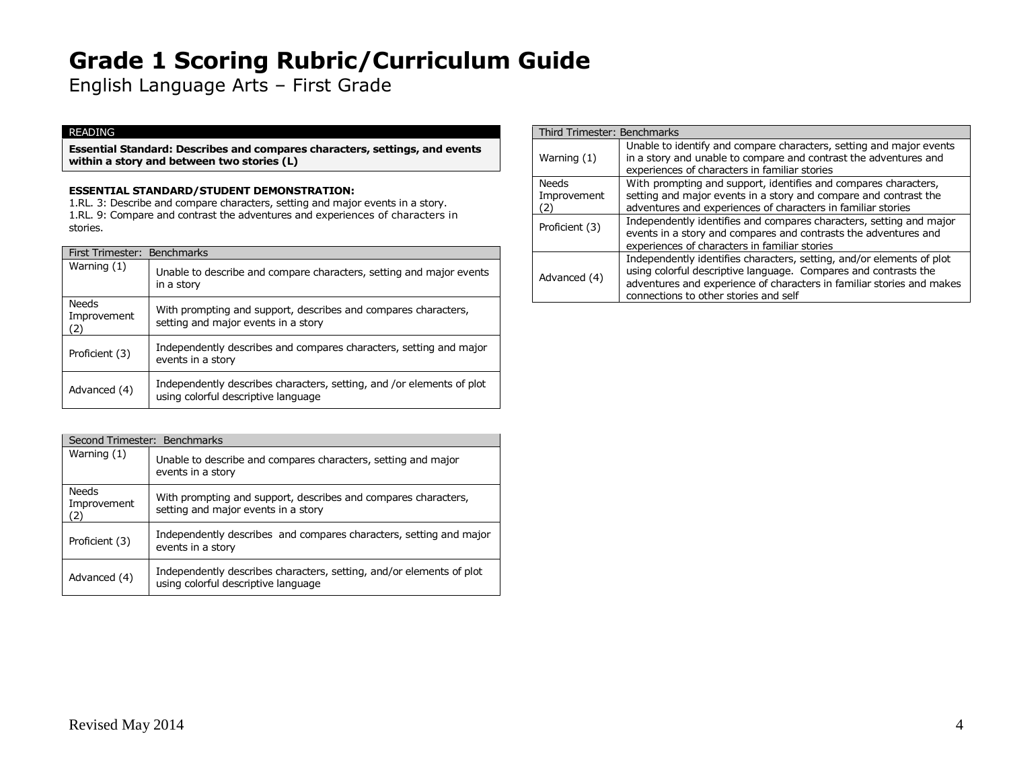English Language Arts – First Grade

#### READING

**Essential Standard: Describes and compares characters, settings, and events within a story and between two stories (L)**

### **ESSENTIAL STANDARD/STUDENT DEMONSTRATION:**

1.RL. 3: Describe and compare characters, setting and major events in a story. 1.RL. 9: Compare and contrast the adventures and experiences of characters in stories.

| First Trimester: Benchmarks        |                                                                                                              |
|------------------------------------|--------------------------------------------------------------------------------------------------------------|
| Warning (1)                        | Unable to describe and compare characters, setting and major events<br>in a story                            |
| <b>Needs</b><br>Improvement<br>(2) | With prompting and support, describes and compares characters,<br>setting and major events in a story        |
| Proficient (3)                     | Independently describes and compares characters, setting and major<br>events in a story                      |
| Advanced (4)                       | Independently describes characters, setting, and /or elements of plot<br>using colorful descriptive language |

| Second Trimester: Benchmarks       |                                                                                                             |  |
|------------------------------------|-------------------------------------------------------------------------------------------------------------|--|
| Warning $(1)$                      | Unable to describe and compares characters, setting and major<br>events in a story                          |  |
| <b>Needs</b><br>Improvement<br>(2) | With prompting and support, describes and compares characters,<br>setting and major events in a story       |  |
| Proficient (3)                     | Independently describes and compares characters, setting and major<br>events in a story                     |  |
| Advanced (4)                       | Independently describes characters, setting, and/or elements of plot<br>using colorful descriptive language |  |

| Third Trimester: Benchmarks |                                                                                                                                                                                                                                                            |
|-----------------------------|------------------------------------------------------------------------------------------------------------------------------------------------------------------------------------------------------------------------------------------------------------|
| Warning (1)                 | Unable to identify and compare characters, setting and major events<br>in a story and unable to compare and contrast the adventures and<br>experiences of characters in familiar stories                                                                   |
| Needs                       | With prompting and support, identifies and compares characters,                                                                                                                                                                                            |
| Improvement<br>2)           | setting and major events in a story and compare and contrast the<br>adventures and experiences of characters in familiar stories                                                                                                                           |
| Proficient (3)              | Independently identifies and compares characters, setting and major<br>events in a story and compares and contrasts the adventures and<br>experiences of characters in familiar stories                                                                    |
| Advanced (4)                | Independently identifies characters, setting, and/or elements of plot<br>using colorful descriptive language. Compares and contrasts the<br>adventures and experience of characters in familiar stories and makes<br>connections to other stories and self |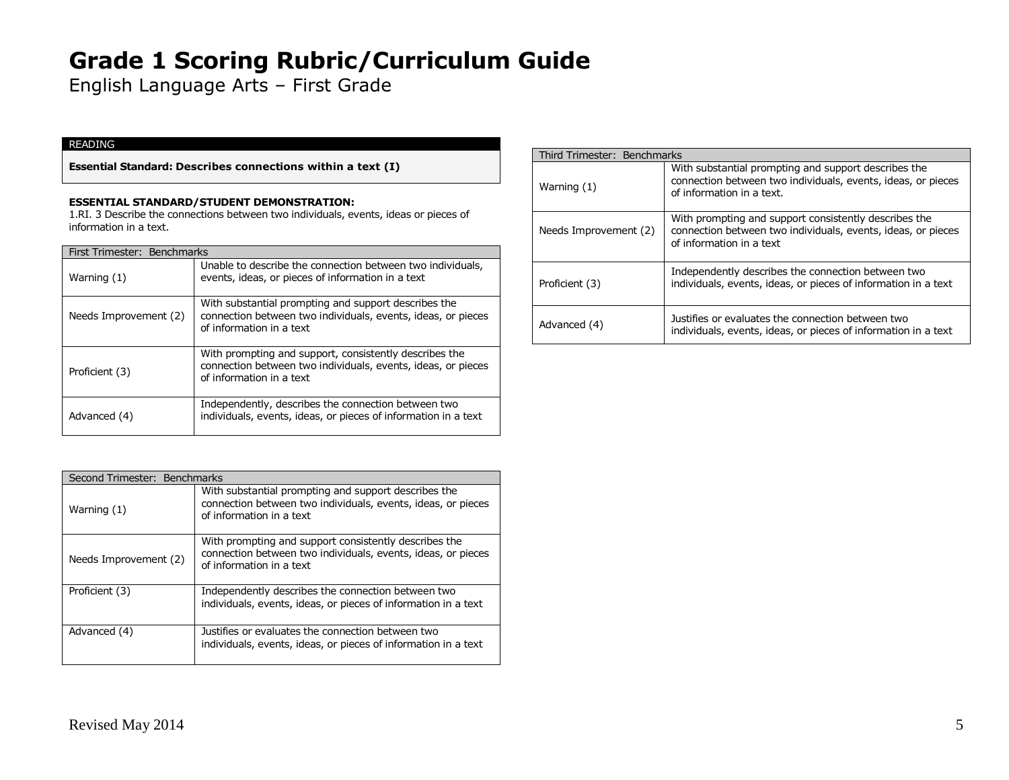English Language Arts – First Grade

#### READING

**Essential Standard: Describes connections within a text (I)**

#### **ESSENTIAL STANDARD/STUDENT DEMONSTRATION:**

1.RI. 3 Describe the connections between two individuals, events, ideas or pieces of information in a text.

#### First Trimester: Benchmarks

| Warning (1)           | Unable to describe the connection between two individuals,<br>events, ideas, or pieces of information in a text                                    |
|-----------------------|----------------------------------------------------------------------------------------------------------------------------------------------------|
| Needs Improvement (2) | With substantial prompting and support describes the<br>connection between two individuals, events, ideas, or pieces<br>of information in a text   |
| Proficient (3)        | With prompting and support, consistently describes the<br>connection between two individuals, events, ideas, or pieces<br>of information in a text |
| Advanced (4)          | Independently, describes the connection between two<br>individuals, events, ideas, or pieces of information in a text                              |

| Second Trimester: Benchmarks |                                                                                                                                                   |
|------------------------------|---------------------------------------------------------------------------------------------------------------------------------------------------|
| Warning $(1)$                | With substantial prompting and support describes the<br>connection between two individuals, events, ideas, or pieces<br>of information in a text  |
| Needs Improvement (2)        | With prompting and support consistently describes the<br>connection between two individuals, events, ideas, or pieces<br>of information in a text |
| Proficient (3)               | Independently describes the connection between two<br>individuals, events, ideas, or pieces of information in a text                              |
| Advanced (4)                 | Justifies or evaluates the connection between two<br>individuals, events, ideas, or pieces of information in a text                               |

| Third Trimester: Benchmarks |                                                                                                                                                   |
|-----------------------------|---------------------------------------------------------------------------------------------------------------------------------------------------|
| Warning (1)                 | With substantial prompting and support describes the<br>connection between two individuals, events, ideas, or pieces<br>of information in a text. |
| Needs Improvement (2)       | With prompting and support consistently describes the<br>connection between two individuals, events, ideas, or pieces<br>of information in a text |
| Proficient (3)              | Independently describes the connection between two<br>individuals, events, ideas, or pieces of information in a text                              |
| Advanced (4)                | Justifies or evaluates the connection between two<br>individuals, events, ideas, or pieces of information in a text                               |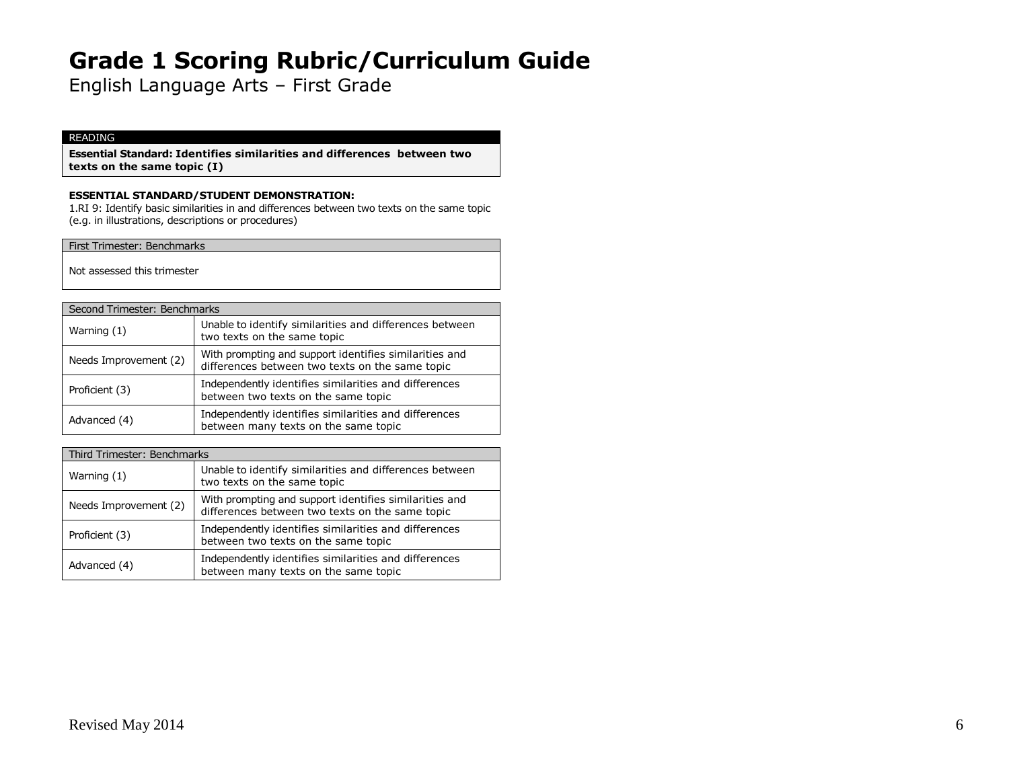English Language Arts – First Grade

### READING

**Essential Standard: Identifies similarities and differences between two texts on the same topic (I)**

#### **ESSENTIAL STANDARD/STUDENT DEMONSTRATION:**

1.RI 9: Identify basic similarities in and differences between two texts on the same topic (e.g. in illustrations, descriptions or procedures)

First Trimester: Benchmarks

Not assessed this trimester

| Second Trimester: Benchmarks |                                                                                                           |  |
|------------------------------|-----------------------------------------------------------------------------------------------------------|--|
| Warning (1)                  | Unable to identify similarities and differences between<br>two texts on the same topic                    |  |
| Needs Improvement (2)        | With prompting and support identifies similarities and<br>differences between two texts on the same topic |  |
| Proficient (3)               | Independently identifies similarities and differences<br>between two texts on the same topic              |  |
| Advanced (4)                 | Independently identifies similarities and differences<br>between many texts on the same topic             |  |

| Third Trimester: Benchmarks |                       |                                                                                                           |
|-----------------------------|-----------------------|-----------------------------------------------------------------------------------------------------------|
|                             | Warning $(1)$         | Unable to identify similarities and differences between<br>two texts on the same topic                    |
|                             | Needs Improvement (2) | With prompting and support identifies similarities and<br>differences between two texts on the same topic |
|                             | Proficient (3)        | Independently identifies similarities and differences<br>between two texts on the same topic              |
|                             | Advanced (4)          | Independently identifies similarities and differences<br>between many texts on the same topic             |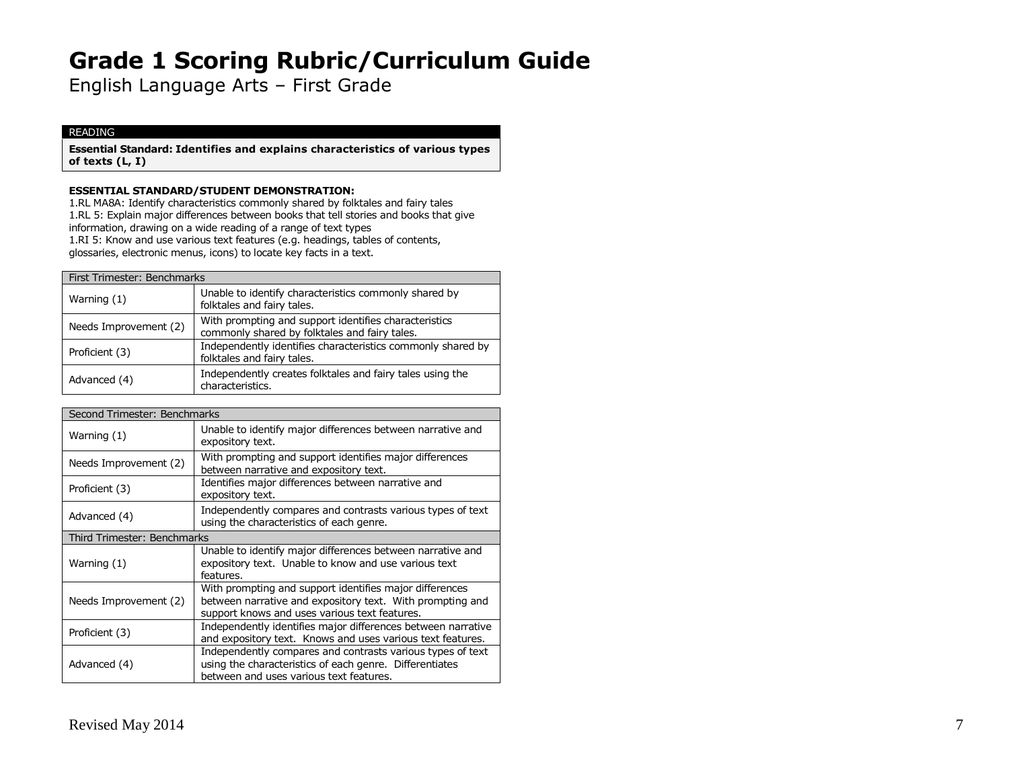English Language Arts – First Grade

#### READING

**Essential Standard: Identifies and explains characteristics of various types of texts (L, I)**

#### **ESSENTIAL STANDARD/STUDENT DEMONSTRATION:**

1.RL MA8A: Identify characteristics commonly shared by folktales and fairy tales 1.RL 5: Explain major differences between books that tell stories and books that give information, drawing on a wide reading of a range of text types 1.RI 5: Know and use various text features (e.g. headings, tables of contents, glossaries, electronic menus, icons) to locate key facts in a text.

| First Trimester: Benchmarks |                                                                                                        |  |
|-----------------------------|--------------------------------------------------------------------------------------------------------|--|
| Warning $(1)$               | Unable to identify characteristics commonly shared by<br>folktales and fairy tales.                    |  |
| Needs Improvement (2)       | With prompting and support identifies characteristics<br>commonly shared by folktales and fairy tales. |  |
| Proficient (3)              | Independently identifies characteristics commonly shared by<br>folktales and fairy tales.              |  |
| Advanced (4)                | Independently creates folktales and fairy tales using the<br>characteristics.                          |  |

| Second Trimester: Benchmarks |                                                                                                                                                                       |  |  |
|------------------------------|-----------------------------------------------------------------------------------------------------------------------------------------------------------------------|--|--|
| Warning (1)                  | Unable to identify major differences between narrative and<br>expository text.                                                                                        |  |  |
| Needs Improvement (2)        | With prompting and support identifies major differences<br>between narrative and expository text.                                                                     |  |  |
| Proficient (3)               | Identifies major differences between narrative and<br>expository text.                                                                                                |  |  |
| Advanced (4)                 | Independently compares and contrasts various types of text<br>using the characteristics of each genre.                                                                |  |  |
|                              | Third Trimester: Benchmarks                                                                                                                                           |  |  |
| Warning (1)                  | Unable to identify major differences between narrative and<br>expository text. Unable to know and use various text<br>features.                                       |  |  |
| Needs Improvement (2)        | With prompting and support identifies major differences<br>between narrative and expository text. With prompting and<br>support knows and uses various text features. |  |  |
| Proficient (3)               | Independently identifies major differences between narrative<br>and expository text. Knows and uses various text features.                                            |  |  |
| Advanced (4)                 | Independently compares and contrasts various types of text<br>using the characteristics of each genre. Differentiates<br>between and uses various text features.      |  |  |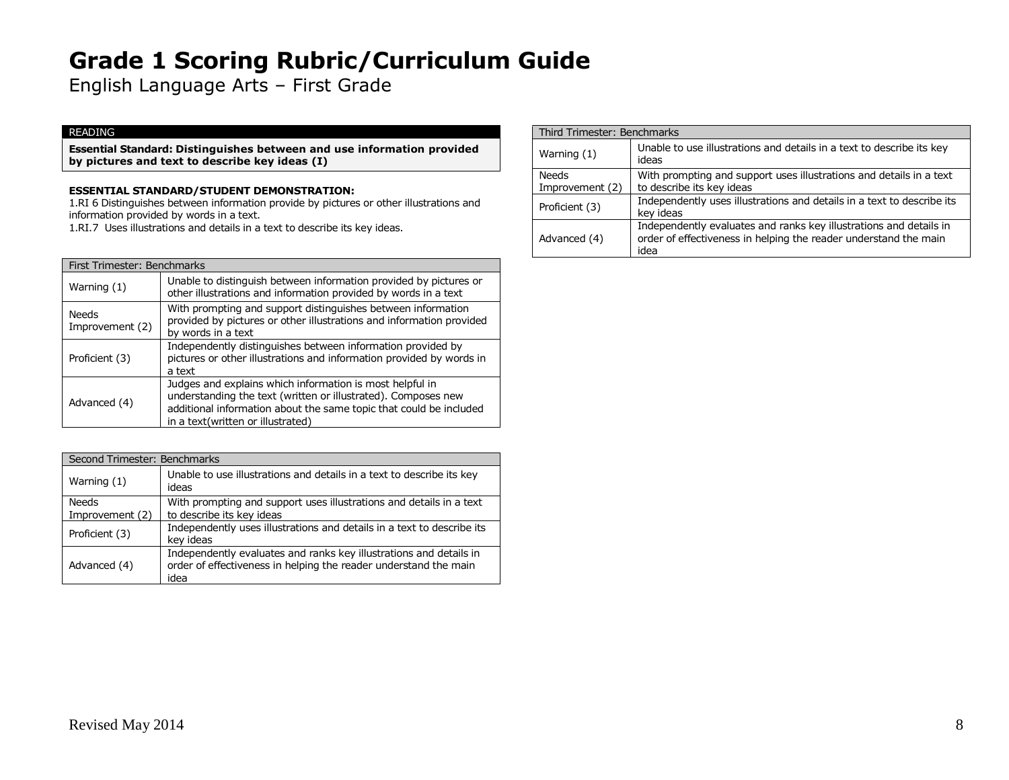English Language Arts – First Grade

### READING

**Essential Standard: Distinguishes between and use information provided by pictures and text to describe key ideas (I)**

### **ESSENTIAL STANDARD/STUDENT DEMONSTRATION:**

1.RI 6 Distinguishes between information provide by pictures or other illustrations and information provided by words in a text.

1.RI.7 Uses illustrations and details in a text to describe its key ideas.

| First Trimester: Benchmarks     |                                                                                                                                                                                                                                      |
|---------------------------------|--------------------------------------------------------------------------------------------------------------------------------------------------------------------------------------------------------------------------------------|
| Warning $(1)$                   | Unable to distinguish between information provided by pictures or<br>other illustrations and information provided by words in a text                                                                                                 |
| <b>Needs</b><br>Improvement (2) | With prompting and support distinguishes between information<br>provided by pictures or other illustrations and information provided<br>by words in a text                                                                           |
| Proficient (3)                  | Independently distinguishes between information provided by<br>pictures or other illustrations and information provided by words in<br>a text                                                                                        |
| Advanced (4)                    | Judges and explains which information is most helpful in<br>understanding the text (written or illustrated). Composes new<br>additional information about the same topic that could be included<br>in a text(written or illustrated) |

| Second Trimester: Benchmarks |                                                                                                                                                |
|------------------------------|------------------------------------------------------------------------------------------------------------------------------------------------|
| Warning $(1)$                | Unable to use illustrations and details in a text to describe its key<br>ideas                                                                 |
| Needs<br>Improvement (2)     | With prompting and support uses illustrations and details in a text<br>to describe its key ideas                                               |
| Proficient (3)               | Independently uses illustrations and details in a text to describe its<br>key ideas                                                            |
| Advanced (4)                 | Independently evaluates and ranks key illustrations and details in<br>order of effectiveness in helping the reader understand the main<br>idea |

|                          | Third Trimester: Benchmarks                                                                                                                    |  |
|--------------------------|------------------------------------------------------------------------------------------------------------------------------------------------|--|
| Warning $(1)$            | Unable to use illustrations and details in a text to describe its key<br>ideas                                                                 |  |
| Needs<br>Improvement (2) | With prompting and support uses illustrations and details in a text<br>to describe its key ideas                                               |  |
| Proficient (3)           | Independently uses illustrations and details in a text to describe its<br>key ideas                                                            |  |
| Advanced (4)             | Independently evaluates and ranks key illustrations and details in<br>order of effectiveness in helping the reader understand the main<br>idea |  |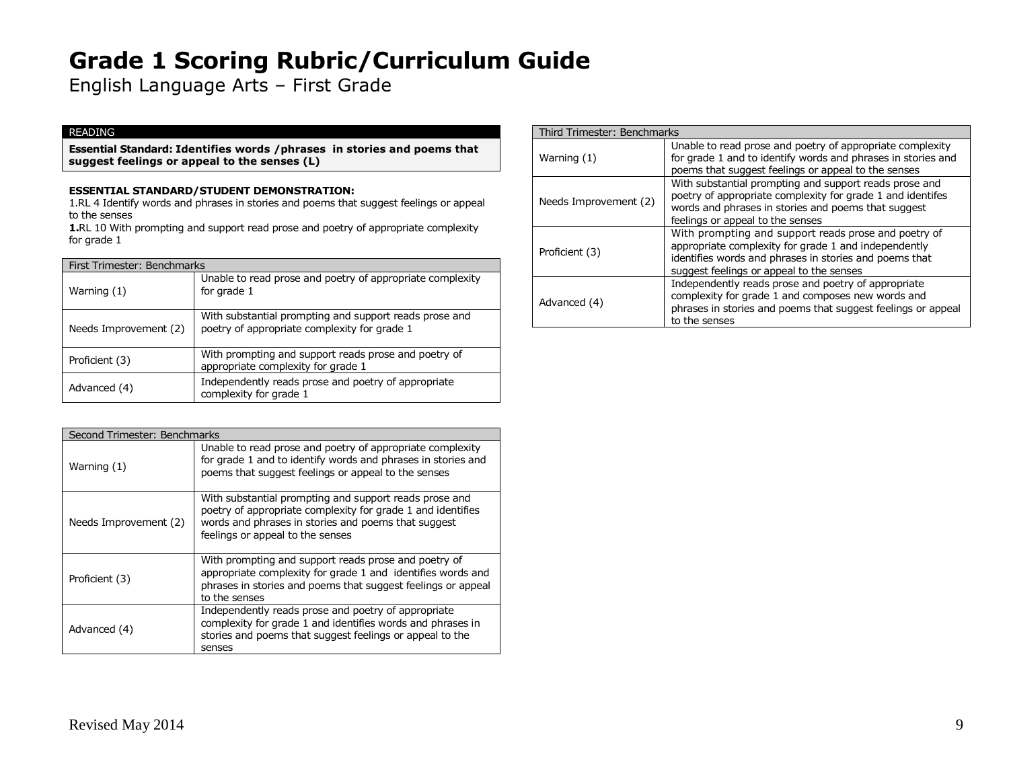English Language Arts – First Grade

### READING

**Essential Standard: Identifies words /phrases in stories and poems that suggest feelings or appeal to the senses (L)**

### **ESSENTIAL STANDARD/STUDENT DEMONSTRATION:**

1.RL 4 Identify words and phrases in stories and poems that suggest feelings or appeal to the senses

**1.**RL 10 With prompting and support read prose and poetry of appropriate complexity for grade 1

| First Trimester: Benchmarks |                                                                                                        |
|-----------------------------|--------------------------------------------------------------------------------------------------------|
| Warning (1)                 | Unable to read prose and poetry of appropriate complexity<br>for grade 1                               |
| Needs Improvement (2)       | With substantial prompting and support reads prose and<br>poetry of appropriate complexity for grade 1 |
| Proficient (3)              | With prompting and support reads prose and poetry of<br>appropriate complexity for grade 1             |
| Advanced (4)                | Independently reads prose and poetry of appropriate<br>complexity for grade 1                          |

| Second Trimester: Benchmarks |                                                                                                                                                                                                                  |
|------------------------------|------------------------------------------------------------------------------------------------------------------------------------------------------------------------------------------------------------------|
| Warning (1)                  | Unable to read prose and poetry of appropriate complexity<br>for grade 1 and to identify words and phrases in stories and<br>poems that suggest feelings or appeal to the senses                                 |
| Needs Improvement (2)        | With substantial prompting and support reads prose and<br>poetry of appropriate complexity for grade 1 and identifies<br>words and phrases in stories and poems that suggest<br>feelings or appeal to the senses |
| Proficient (3)               | With prompting and support reads prose and poetry of<br>appropriate complexity for grade 1 and identifies words and<br>phrases in stories and poems that suggest feelings or appeal<br>to the senses             |
| Advanced (4)                 | Independently reads prose and poetry of appropriate<br>complexity for grade 1 and identifies words and phrases in<br>stories and poems that suggest feelings or appeal to the<br>senses                          |

|                       | Third Trimester: Benchmarks                                                                                                                                                                                        |  |
|-----------------------|--------------------------------------------------------------------------------------------------------------------------------------------------------------------------------------------------------------------|--|
| Warning (1)           | Unable to read prose and poetry of appropriate complexity<br>for grade 1 and to identify words and phrases in stories and<br>poems that suggest feelings or appeal to the senses                                   |  |
| Needs Improvement (2) | With substantial prompting and support reads prose and<br>poetry of appropriate complexity for grade 1 and identifes<br>words and phrases in stories and poems that suggest<br>feelings or appeal to the senses    |  |
| Proficient (3)        | With prompting and support reads prose and poetry of<br>appropriate complexity for grade 1 and independently<br>identifies words and phrases in stories and poems that<br>suggest feelings or appeal to the senses |  |
| Advanced (4)          | Independently reads prose and poetry of appropriate<br>complexity for grade 1 and composes new words and<br>phrases in stories and poems that suggest feelings or appeal<br>to the senses                          |  |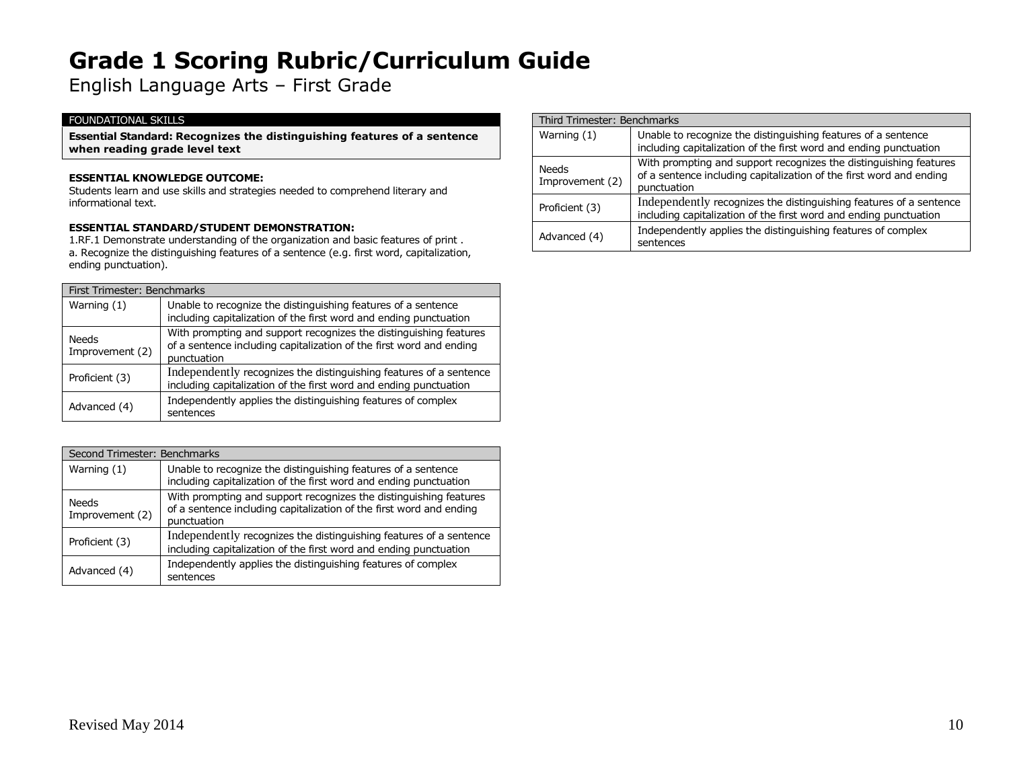English Language Arts – First Grade

### FOUNDATIONAL SKILLS

**Essential Standard: Recognizes the distinguishing features of a sentence when reading grade level text**

#### **ESSENTIAL KNOWLEDGE OUTCOME:**

Students learn and use skills and strategies needed to comprehend literary and informational text.

#### **ESSENTIAL STANDARD/STUDENT DEMONSTRATION:**

1.RF.1 Demonstrate understanding of the organization and basic features of print . a. Recognize the distinguishing features of a sentence (e.g. first word, capitalization, ending punctuation).

| First Trimester: Benchmarks |                                                                                                                                                         |
|-----------------------------|---------------------------------------------------------------------------------------------------------------------------------------------------------|
| Warning $(1)$               | Unable to recognize the distinguishing features of a sentence<br>including capitalization of the first word and ending punctuation                      |
| Needs<br>Improvement (2)    | With prompting and support recognizes the distinguishing features<br>of a sentence including capitalization of the first word and ending<br>punctuation |
| Proficient (3)              | Independently recognizes the distinguishing features of a sentence<br>including capitalization of the first word and ending punctuation                 |
| Advanced (4)                | Independently applies the distinguishing features of complex<br>sentences                                                                               |

| Second Trimester: Benchmarks |                                                                                                                                                         |
|------------------------------|---------------------------------------------------------------------------------------------------------------------------------------------------------|
| Warning $(1)$                | Unable to recognize the distinguishing features of a sentence<br>including capitalization of the first word and ending punctuation                      |
| Needs<br>Improvement (2)     | With prompting and support recognizes the distinguishing features<br>of a sentence including capitalization of the first word and ending<br>punctuation |
| Proficient (3)               | Independently recognizes the distinguishing features of a sentence<br>including capitalization of the first word and ending punctuation                 |
| Advanced (4)                 | Independently applies the distinguishing features of complex<br>sentences                                                                               |

|                                 | Third Trimester: Benchmarks                                                                                                                             |  |
|---------------------------------|---------------------------------------------------------------------------------------------------------------------------------------------------------|--|
| Warning $(1)$                   | Unable to recognize the distinguishing features of a sentence<br>including capitalization of the first word and ending punctuation                      |  |
| <b>Needs</b><br>Improvement (2) | With prompting and support recognizes the distinguishing features<br>of a sentence including capitalization of the first word and ending<br>punctuation |  |
| Proficient (3)                  | Independently recognizes the distinguishing features of a sentence<br>including capitalization of the first word and ending punctuation                 |  |
| Advanced (4)                    | Independently applies the distinguishing features of complex<br>sentences                                                                               |  |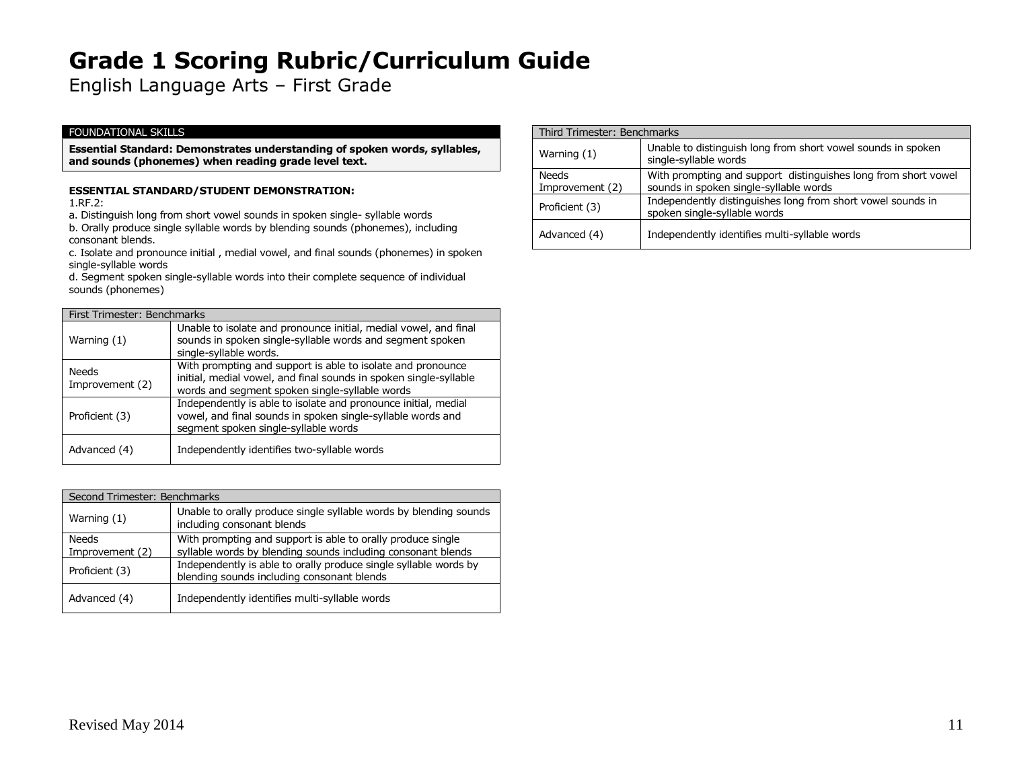English Language Arts – First Grade

### FOUNDATIONAL SKILLS

**Essential Standard: Demonstrates understanding of spoken words, syllables, and sounds (phonemes) when reading grade level text.**

### **ESSENTIAL STANDARD/STUDENT DEMONSTRATION:**

1.RF.2:

a. Distinguish long from short vowel sounds in spoken single- syllable words b. Orally produce single syllable words by blending sounds (phonemes), including

consonant blends.

c. Isolate and pronounce initial , medial vowel, and final sounds (phonemes) in spoken single-syllable words

d. Segment spoken single-syllable words into their complete sequence of individual sounds (phonemes)

| First Trimester: Benchmarks |                                                                                                                                                                                    |
|-----------------------------|------------------------------------------------------------------------------------------------------------------------------------------------------------------------------------|
| Warning (1)                 | Unable to isolate and pronounce initial, medial vowel, and final<br>sounds in spoken single-syllable words and segment spoken<br>single-syllable words.                            |
| Needs<br>Improvement (2)    | With prompting and support is able to isolate and pronounce<br>initial, medial vowel, and final sounds in spoken single-syllable<br>words and segment spoken single-syllable words |
| Proficient (3)              | Independently is able to isolate and pronounce initial, medial<br>vowel, and final sounds in spoken single-syllable words and<br>segment spoken single-syllable words              |
| Advanced (4)                | Independently identifies two-syllable words                                                                                                                                        |

| Second Trimester: Benchmarks |                                                                                                                |
|------------------------------|----------------------------------------------------------------------------------------------------------------|
| Warning (1)                  | Unable to orally produce single syllable words by blending sounds<br>including consonant blends                |
| Needs                        | With prompting and support is able to orally produce single                                                    |
| Improvement (2)              | syllable words by blending sounds including consonant blends                                                   |
| Proficient (3)               | Independently is able to orally produce single syllable words by<br>blending sounds including consonant blends |
| Advanced (4)                 | Independently identifies multi-syllable words                                                                  |

| Third Trimester: Benchmarks     |                                                                                                          |
|---------------------------------|----------------------------------------------------------------------------------------------------------|
| Warning $(1)$                   | Unable to distinguish long from short vowel sounds in spoken<br>single-syllable words                    |
| <b>Needs</b><br>Improvement (2) | With prompting and support distinguishes long from short vowel<br>sounds in spoken single-syllable words |
| Proficient (3)                  | Independently distinguishes long from short vowel sounds in<br>spoken single-syllable words              |
| Advanced (4)                    | Independently identifies multi-syllable words                                                            |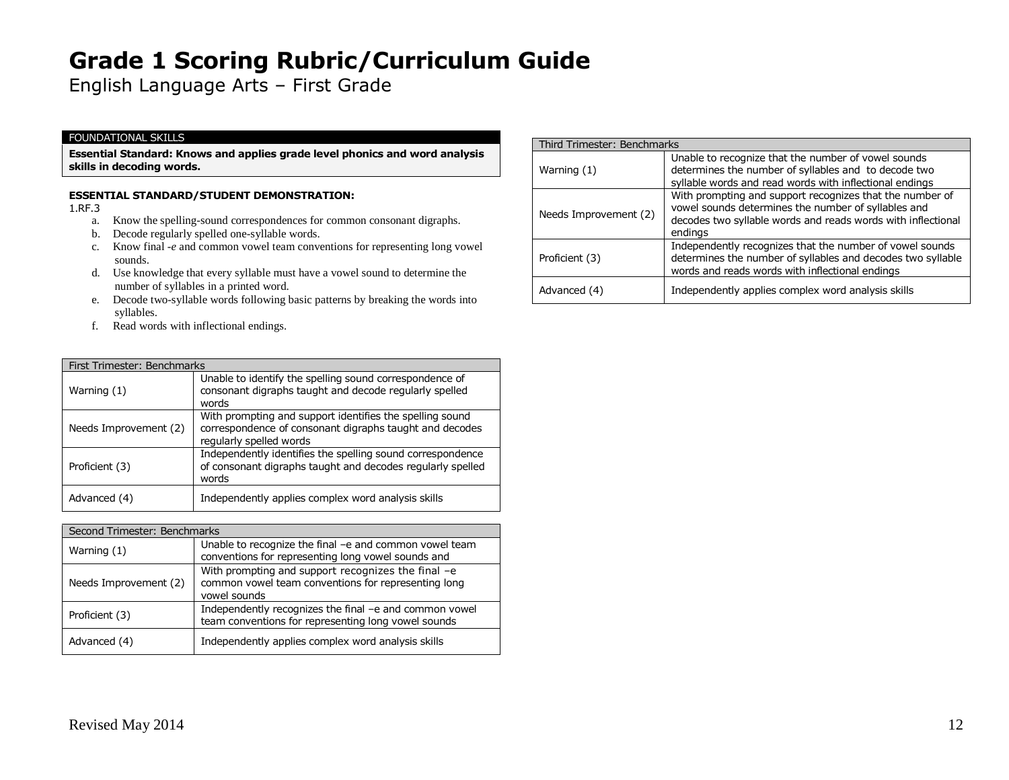English Language Arts – First Grade

### FOUNDATIONAL SKILLS

**Essential Standard: Knows and applies grade level phonics and word analysis skills in decoding words.**

### **ESSENTIAL STANDARD/STUDENT DEMONSTRATION:**

1.RF.3

- a. Know the spelling-sound correspondences for common consonant digraphs.
- b. Decode regularly spelled one-syllable words.
- c. Know final *-e* and common vowel team conventions for representing long vowel sounds.
- d. Use knowledge that every syllable must have a vowel sound to determine the number of syllables in a printed word.
- e. Decode two-syllable words following basic patterns by breaking the words into syllables.
- f. Read words with inflectional endings.

| First Trimester: Benchmarks |                                                                                                                                                |
|-----------------------------|------------------------------------------------------------------------------------------------------------------------------------------------|
| Warning (1)                 | Unable to identify the spelling sound correspondence of<br>consonant digraphs taught and decode regularly spelled<br>words                     |
| Needs Improvement (2)       | With prompting and support identifies the spelling sound<br>correspondence of consonant digraphs taught and decodes<br>regularly spelled words |
| Proficient (3)              | Independently identifies the spelling sound correspondence<br>of consonant digraphs taught and decodes regularly spelled<br>words              |
| Advanced (4)                | Independently applies complex word analysis skills                                                                                             |

| Second Trimester: Benchmarks |                                                                                                                           |
|------------------------------|---------------------------------------------------------------------------------------------------------------------------|
| Warning (1)                  | Unable to recognize the final -e and common vowel team<br>conventions for representing long vowel sounds and              |
| Needs Improvement (2)        | With prompting and support recognizes the final -e<br>common vowel team conventions for representing long<br>vowel sounds |
| Proficient (3)               | Independently recognizes the final -e and common vowel<br>team conventions for representing long vowel sounds             |
| Advanced (4)                 | Independently applies complex word analysis skills                                                                        |

| Third Trimester: Benchmarks |                                                                                                                                                                                            |
|-----------------------------|--------------------------------------------------------------------------------------------------------------------------------------------------------------------------------------------|
| Warning (1)                 | Unable to recognize that the number of vowel sounds<br>determines the number of syllables and to decode two<br>syllable words and read words with inflectional endings                     |
| Needs Improvement (2)       | With prompting and support recognizes that the number of<br>vowel sounds determines the number of syllables and<br>decodes two syllable words and reads words with inflectional<br>endings |
| Proficient (3)              | Independently recognizes that the number of vowel sounds<br>determines the number of syllables and decodes two syllable<br>words and reads words with inflectional endings                 |
| Advanced (4)                | Independently applies complex word analysis skills                                                                                                                                         |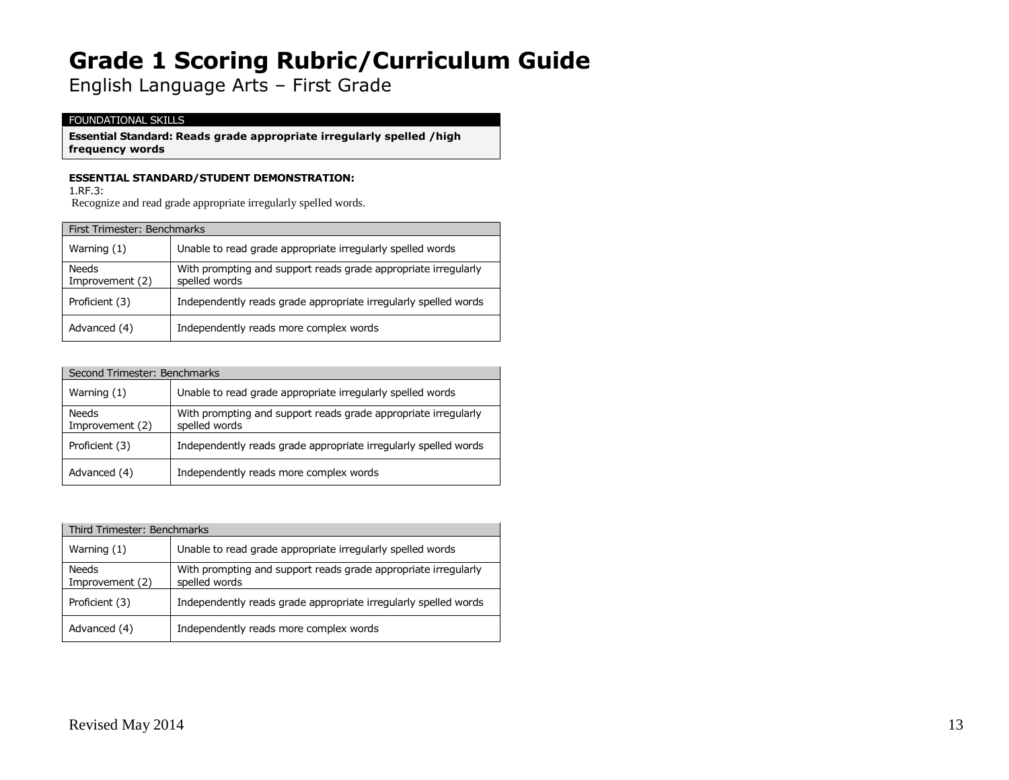English Language Arts – First Grade

### FOUNDATIONAL SKILLS

**Essential Standard: Reads grade appropriate irregularly spelled /high frequency words**

### **ESSENTIAL STANDARD/STUDENT DEMONSTRATION:**

1.RF.3:

Recognize and read grade appropriate irregularly spelled words.

| First Trimester: Benchmarks     |                                                                                 |
|---------------------------------|---------------------------------------------------------------------------------|
| Warning (1)                     | Unable to read grade appropriate irregularly spelled words                      |
| <b>Needs</b><br>Improvement (2) | With prompting and support reads grade appropriate irregularly<br>spelled words |
| Proficient (3)                  | Independently reads grade appropriate irregularly spelled words                 |
| Advanced (4)                    | Independently reads more complex words                                          |

| Second Trimester: Benchmarks |                                                                                 |
|------------------------------|---------------------------------------------------------------------------------|
| Warning (1)                  | Unable to read grade appropriate irregularly spelled words                      |
| Needs<br>Improvement (2)     | With prompting and support reads grade appropriate irregularly<br>spelled words |
| Proficient (3)               | Independently reads grade appropriate irregularly spelled words                 |
| Advanced (4)                 | Independently reads more complex words                                          |

| Third Trimester: Benchmarks |                                                                                 |
|-----------------------------|---------------------------------------------------------------------------------|
| Warning $(1)$               | Unable to read grade appropriate irregularly spelled words                      |
| Needs<br>Improvement (2)    | With prompting and support reads grade appropriate irregularly<br>spelled words |
| Proficient (3)              | Independently reads grade appropriate irregularly spelled words                 |
| Advanced (4)                | Independently reads more complex words                                          |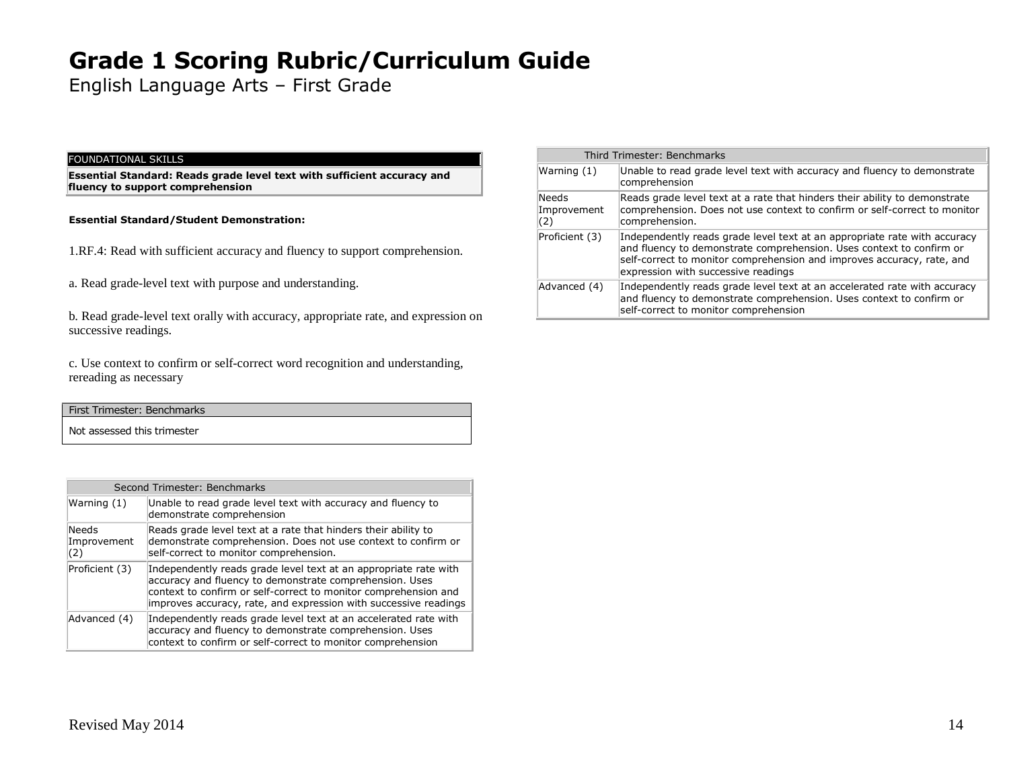English Language Arts – First Grade

#### FOUNDATIONAL SKILLS

**Essential Standard: Reads grade level text with sufficient accuracy and fluency to support comprehension**

#### **Essential Standard/Student Demonstration:**

- 1.RF.4: Read with sufficient accuracy and fluency to support comprehension.
- a. Read grade-level text with purpose and understanding.

b. Read grade-level text orally with accuracy, appropriate rate, and expression on successive readings.

c. Use context to confirm or self-correct word recognition and understanding, rereading as necessary

| First Trimester: Benchmarks |  |
|-----------------------------|--|
| Not assessed this trimester |  |

| Second Trimester: Benchmarks |                                                                                                                                                                                                                                                                    |
|------------------------------|--------------------------------------------------------------------------------------------------------------------------------------------------------------------------------------------------------------------------------------------------------------------|
| Warning (1)                  | Unable to read grade level text with accuracy and fluency to<br>demonstrate comprehension                                                                                                                                                                          |
| Needs<br>Improvement<br>(2)  | Reads grade level text at a rate that hinders their ability to<br>demonstrate comprehension. Does not use context to confirm or<br>self-correct to monitor comprehension.                                                                                          |
| Proficient (3)               | Independently reads grade level text at an appropriate rate with<br>accuracy and fluency to demonstrate comprehension. Uses<br>context to confirm or self-correct to monitor comprehension and<br>improves accuracy, rate, and expression with successive readings |
| Advanced (4)                 | Independently reads grade level text at an accelerated rate with<br>accuracy and fluency to demonstrate comprehension. Uses<br>context to confirm or self-correct to monitor comprehension                                                                         |

|                                    | Third Trimester: Benchmarks                                                                                                                                                                                                                                        |
|------------------------------------|--------------------------------------------------------------------------------------------------------------------------------------------------------------------------------------------------------------------------------------------------------------------|
| Warning $(1)$                      | Unable to read grade level text with accuracy and fluency to demonstrate<br>comprehension                                                                                                                                                                          |
| <b>Needs</b><br>Improvement<br>(2) | Reads grade level text at a rate that hinders their ability to demonstrate<br>comprehension. Does not use context to confirm or self-correct to monitor<br>comprehension.                                                                                          |
| Proficient (3)                     | Independently reads grade level text at an appropriate rate with accuracy<br>and fluency to demonstrate comprehension. Uses context to confirm or<br>self-correct to monitor comprehension and improves accuracy, rate, and<br>expression with successive readings |
| Advanced (4)                       | Independently reads grade level text at an accelerated rate with accuracy<br>and fluency to demonstrate comprehension. Uses context to confirm or<br>self-correct to monitor comprehension                                                                         |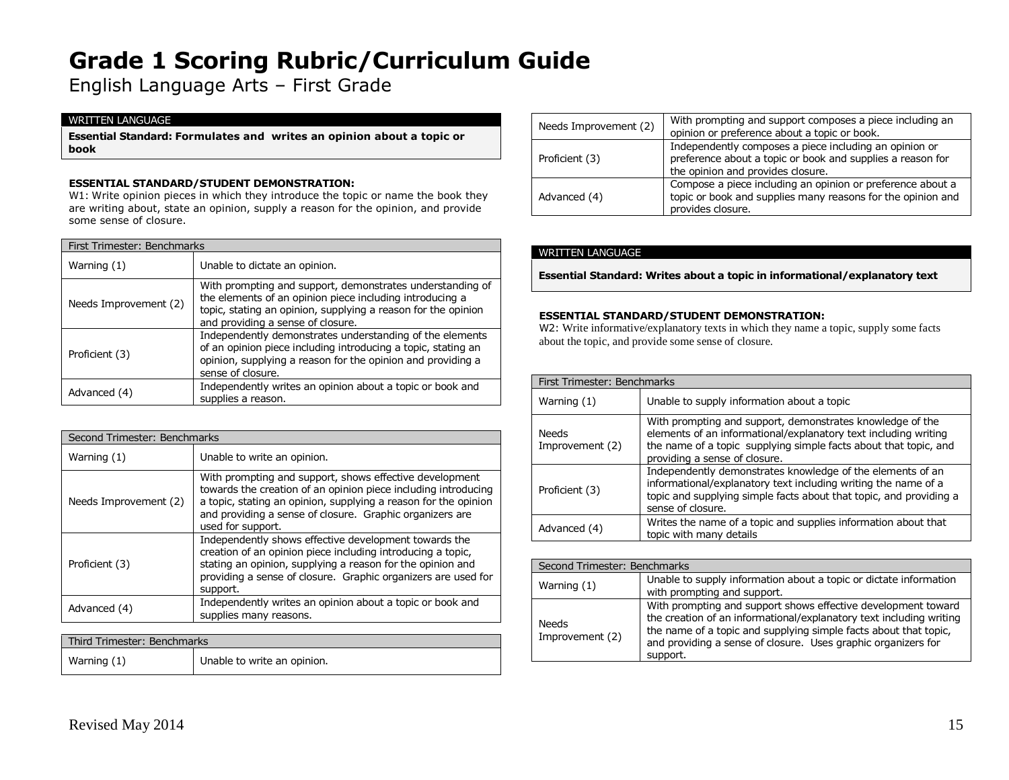English Language Arts – First Grade

### WRITTEN LANGUAGE

**Essential Standard: Formulates and writes an opinion about a topic or book**

### **ESSENTIAL STANDARD/STUDENT DEMONSTRATION:**

W1: Write opinion pieces in which they introduce the topic or name the book they are writing about, state an opinion, supply a reason for the opinion, and provide some sense of closure.

| First Trimester: Benchmarks |                                                                                                                                                                                                                             |
|-----------------------------|-----------------------------------------------------------------------------------------------------------------------------------------------------------------------------------------------------------------------------|
| Warning (1)                 | Unable to dictate an opinion.                                                                                                                                                                                               |
| Needs Improvement (2)       | With prompting and support, demonstrates understanding of<br>the elements of an opinion piece including introducing a<br>topic, stating an opinion, supplying a reason for the opinion<br>and providing a sense of closure. |
| Proficient (3)              | Independently demonstrates understanding of the elements<br>of an opinion piece including introducing a topic, stating an<br>opinion, supplying a reason for the opinion and providing a<br>sense of closure.               |
| Advanced (4)                | Independently writes an opinion about a topic or book and<br>supplies a reason.                                                                                                                                             |

| Second Trimester: Benchmarks |                                                                                                                                                                                                                                                                               |
|------------------------------|-------------------------------------------------------------------------------------------------------------------------------------------------------------------------------------------------------------------------------------------------------------------------------|
| Warning (1)                  | Unable to write an opinion.                                                                                                                                                                                                                                                   |
| Needs Improvement (2)        | With prompting and support, shows effective development<br>towards the creation of an opinion piece including introducing<br>a topic, stating an opinion, supplying a reason for the opinion<br>and providing a sense of closure. Graphic organizers are<br>used for support. |
| Proficient (3)               | Independently shows effective development towards the<br>creation of an opinion piece including introducing a topic,<br>stating an opinion, supplying a reason for the opinion and<br>providing a sense of closure. Graphic organizers are used for<br>support.               |
| Advanced (4)                 | Independently writes an opinion about a topic or book and<br>supplies many reasons.                                                                                                                                                                                           |

| Third Trimester: Benchmarks |                             |
|-----------------------------|-----------------------------|
| Warning (1)                 | Unable to write an opinion. |

| Needs Improvement (2) | With prompting and support composes a piece including an<br>opinion or preference about a topic or book.                                                  |
|-----------------------|-----------------------------------------------------------------------------------------------------------------------------------------------------------|
| Proficient (3)        | Independently composes a piece including an opinion or<br>preference about a topic or book and supplies a reason for<br>the opinion and provides closure. |
| Advanced (4)          | Compose a piece including an opinion or preference about a<br>topic or book and supplies many reasons for the opinion and<br>provides closure.            |

#### WRITTEN LANGUAGE

**Essential Standard: Writes about a topic in informational/explanatory text**

#### **ESSENTIAL STANDARD/STUDENT DEMONSTRATION:**

W2: Write informative/explanatory texts in which they name a topic, supply some facts about the topic, and provide some sense of closure.

| First Trimester: Benchmarks |                                                                                                                                                                                                                                   |
|-----------------------------|-----------------------------------------------------------------------------------------------------------------------------------------------------------------------------------------------------------------------------------|
| Warning (1)                 | Unable to supply information about a topic                                                                                                                                                                                        |
| Needs<br>Improvement (2)    | With prompting and support, demonstrates knowledge of the<br>elements of an informational/explanatory text including writing<br>the name of a topic supplying simple facts about that topic, and<br>providing a sense of closure. |
| Proficient (3)              | Independently demonstrates knowledge of the elements of an<br>informational/explanatory text including writing the name of a<br>topic and supplying simple facts about that topic, and providing a<br>sense of closure.           |
| Advanced (4)                | Writes the name of a topic and supplies information about that<br>topic with many details                                                                                                                                         |

| Second Trimester: Benchmarks |                                                                                                                                                                                                                                                                                       |
|------------------------------|---------------------------------------------------------------------------------------------------------------------------------------------------------------------------------------------------------------------------------------------------------------------------------------|
| Warning (1)                  | Unable to supply information about a topic or dictate information<br>with prompting and support.                                                                                                                                                                                      |
| Needs<br>Improvement (2)     | With prompting and support shows effective development toward<br>the creation of an informational/explanatory text including writing<br>the name of a topic and supplying simple facts about that topic,<br>and providing a sense of closure. Uses graphic organizers for<br>support. |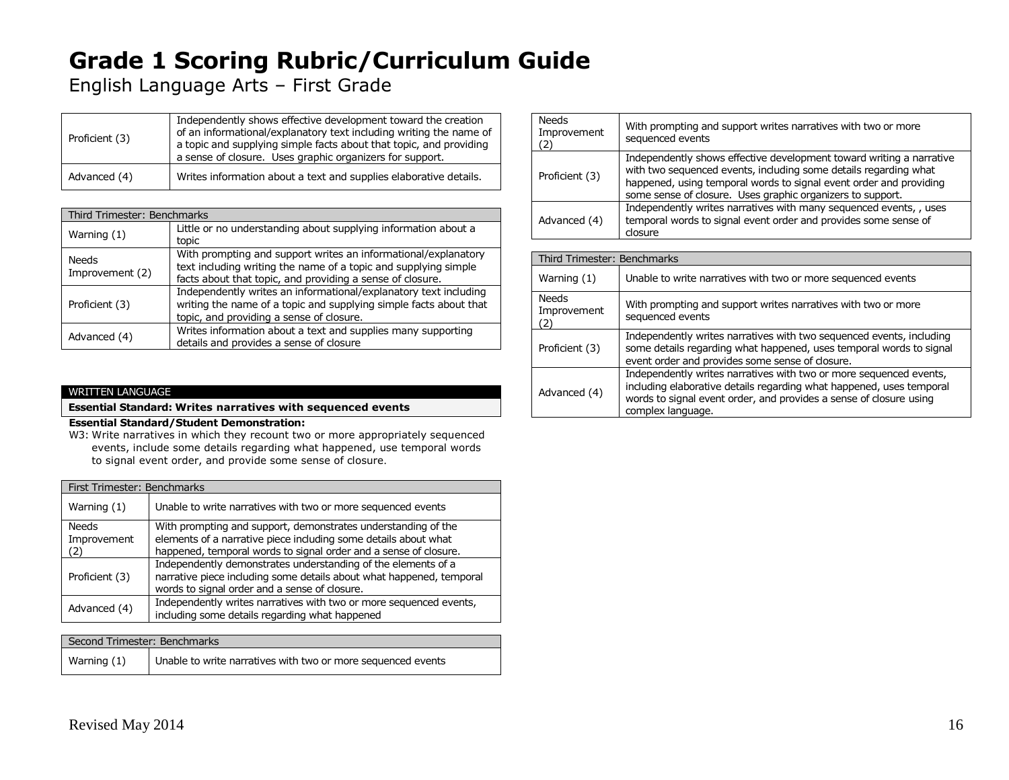English Language Arts – First Grade

| Proficient (3) | Independently shows effective development toward the creation<br>of an informational/explanatory text including writing the name of<br>a topic and supplying simple facts about that topic, and providing<br>a sense of closure. Uses graphic organizers for support. |
|----------------|-----------------------------------------------------------------------------------------------------------------------------------------------------------------------------------------------------------------------------------------------------------------------|
| Advanced (4)   | Writes information about a text and supplies elaborative details.                                                                                                                                                                                                     |

| Third Trimester: Benchmarks |                                                                                                                                                                                                |
|-----------------------------|------------------------------------------------------------------------------------------------------------------------------------------------------------------------------------------------|
| Warning (1)                 | Little or no understanding about supplying information about a<br>topic                                                                                                                        |
| Needs<br>Improvement (2)    | With prompting and support writes an informational/explanatory<br>text including writing the name of a topic and supplying simple<br>facts about that topic, and providing a sense of closure. |
| Proficient (3)              | Independently writes an informational/explanatory text including<br>writing the name of a topic and supplying simple facts about that<br>topic, and providing a sense of closure.              |
| Advanced (4)                | Writes information about a text and supplies many supporting<br>details and provides a sense of closure                                                                                        |

### WRITTEN LANGUAGE

### **Essential Standard: Writes narratives with sequenced events**

#### **Essential Standard/Student Demonstration:**

W3: Write narratives in which they recount two or more appropriately sequenced events, include some details regarding what happened, use temporal words to signal event order, and provide some sense of closure.

| First Trimester: Benchmarks |                                                                                                                                                                                                      |
|-----------------------------|------------------------------------------------------------------------------------------------------------------------------------------------------------------------------------------------------|
| Warning (1)                 | Unable to write narratives with two or more sequenced events                                                                                                                                         |
| Needs<br>Improvement<br>(2) | With prompting and support, demonstrates understanding of the<br>elements of a narrative piece including some details about what<br>happened, temporal words to signal order and a sense of closure. |
| Proficient (3)              | Independently demonstrates understanding of the elements of a<br>narrative piece including some details about what happened, temporal<br>words to signal order and a sense of closure.               |
| Advanced (4)                | Independently writes narratives with two or more sequenced events,<br>including some details regarding what happened                                                                                 |

| Second Trimester: Benchmarks |                                                              |
|------------------------------|--------------------------------------------------------------|
| Warning (1)                  | Unable to write narratives with two or more sequenced events |

| <b>Needs</b><br>Improvement<br>(2) | With prompting and support writes narratives with two or more<br>sequenced events                                                                                                                                                                                            |
|------------------------------------|------------------------------------------------------------------------------------------------------------------------------------------------------------------------------------------------------------------------------------------------------------------------------|
| Proficient (3)                     | Independently shows effective development toward writing a narrative<br>with two sequenced events, including some details regarding what<br>happened, using temporal words to signal event order and providing<br>some sense of closure. Uses graphic organizers to support. |
| Advanced (4)                       | Independently writes narratives with many sequenced events, , uses<br>temporal words to signal event order and provides some sense of<br>closure                                                                                                                             |

| Third Trimester: Benchmarks        |                                                                                                                                                                                                                                     |  |
|------------------------------------|-------------------------------------------------------------------------------------------------------------------------------------------------------------------------------------------------------------------------------------|--|
| Warning (1)                        | Unable to write narratives with two or more sequenced events                                                                                                                                                                        |  |
| <b>Needs</b><br>Improvement<br>(2) | With prompting and support writes narratives with two or more<br>sequenced events                                                                                                                                                   |  |
| Proficient (3)                     | Independently writes narratives with two sequenced events, including<br>some details regarding what happened, uses temporal words to signal<br>event order and provides some sense of dosure.                                       |  |
| Advanced (4)                       | Independently writes narratives with two or more sequenced events,<br>induding elaborative details regarding what happened, uses temporal<br>words to signal event order, and provides a sense of dosure using<br>complex language. |  |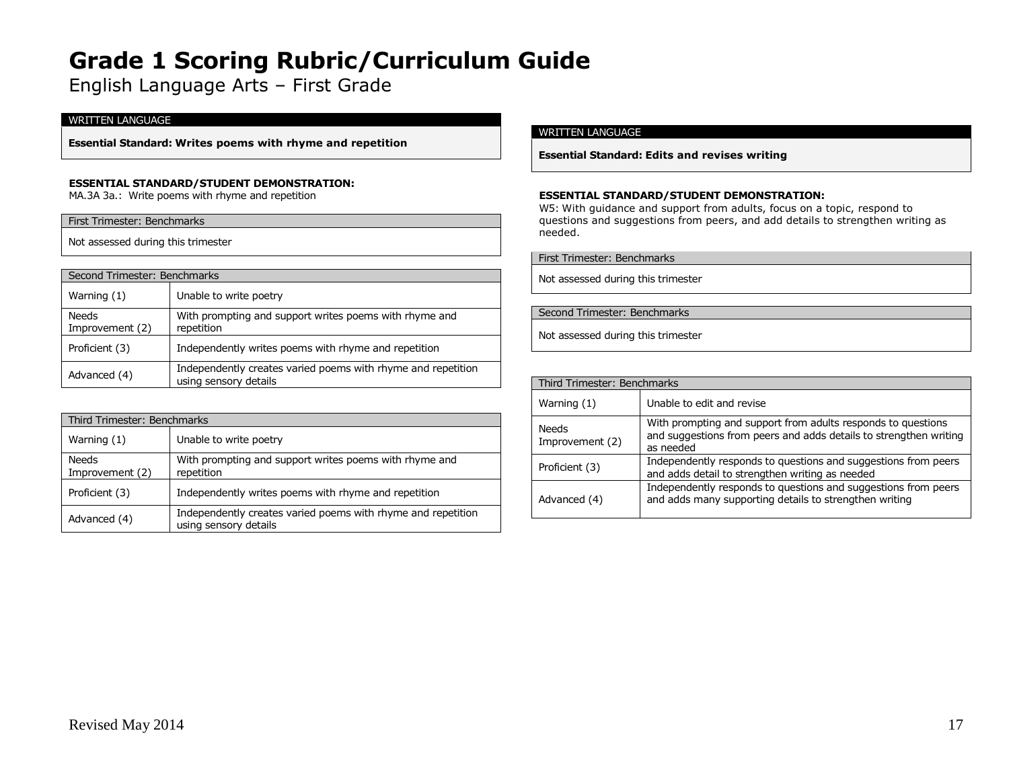English Language Arts – First Grade

#### WRITTEN LANGUAGE

**Essential Standard: Writes poems with rhyme and repetition**

#### **ESSENTIAL STANDARD/STUDENT DEMONSTRATION:**

MA.3A 3a.: Write poems with rhyme and repetition

#### First Trimester: Benchmarks

Not assessed during this trimester

| Second Trimester: Benchmarks    |                                                                                       |
|---------------------------------|---------------------------------------------------------------------------------------|
| Warning (1)                     | Unable to write poetry                                                                |
| <b>Needs</b><br>Improvement (2) | With prompting and support writes poems with rhyme and<br>repetition                  |
| Proficient (3)                  | Independently writes poems with rhyme and repetition                                  |
| Advanced (4)                    | Independently creates varied poems with rhyme and repetition<br>using sensory details |

| Third Trimester: Benchmarks |                                                                                       |
|-----------------------------|---------------------------------------------------------------------------------------|
| Warning (1)                 | Unable to write poetry                                                                |
| Needs<br>Improvement (2)    | With prompting and support writes poems with rhyme and<br>repetition                  |
| Proficient (3)              | Independently writes poems with rhyme and repetition                                  |
| Advanced (4)                | Independently creates varied poems with rhyme and repetition<br>using sensory details |

#### WRITTEN LANGUAGE

**Essential Standard: Edits and revises writing**

#### **ESSENTIAL STANDARD/STUDENT DEMONSTRATION:**

W5: With guidance and support from adults, focus on a topic, respond to questions and suggestions from peers, and add details to strengthen writing as needed.

First Trimester: Benchmarks

Not assessed during this trimester

#### Second Trimester: Benchmarks

Not assessed during this trimester

| Third Trimester: Benchmarks |                                                                                                                                                |
|-----------------------------|------------------------------------------------------------------------------------------------------------------------------------------------|
| Warning (1)                 | Unable to edit and revise                                                                                                                      |
| Needs<br>Improvement (2)    | With prompting and support from adults responds to questions<br>and suggestions from peers and adds details to strengthen writing<br>as needed |
| Proficient (3)              | Independently responds to questions and suggestions from peers<br>and adds detail to strengthen writing as needed                              |
| Advanced (4)                | Independently responds to questions and suggestions from peers<br>and adds many supporting details to strengthen writing                       |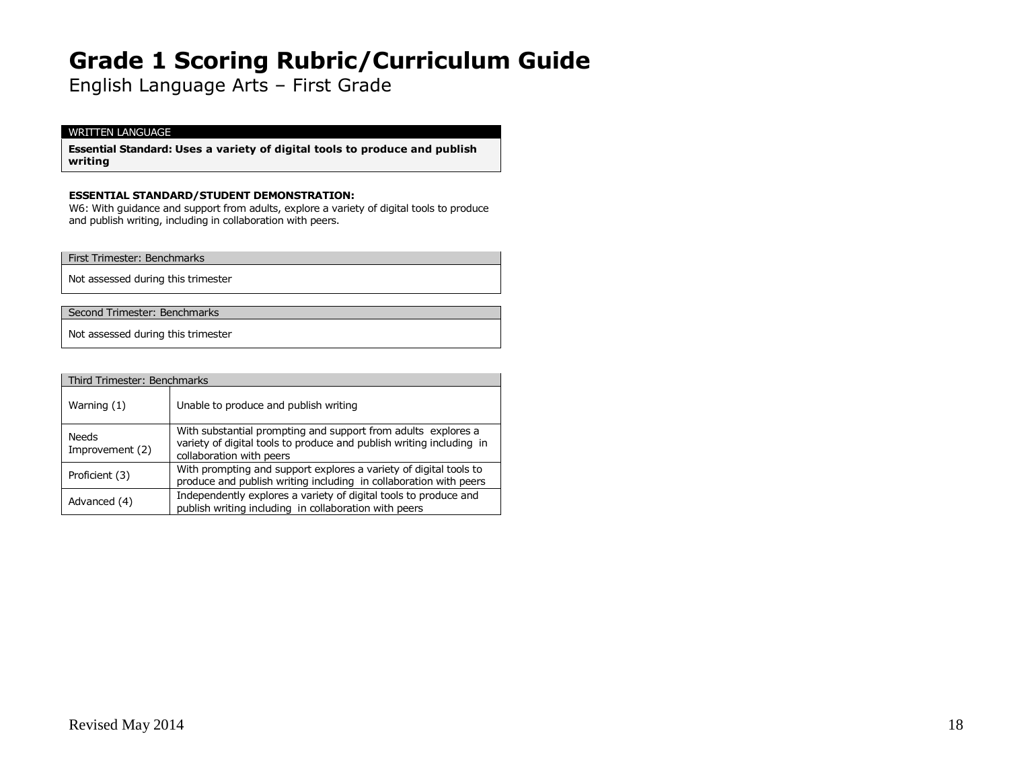English Language Arts – First Grade

### WRITTEN LANGUAGE

**Essential Standard: Uses a variety of digital tools to produce and publish writing**

#### **ESSENTIAL STANDARD/STUDENT DEMONSTRATION:**

W6: With guidance and support from adults, explore a variety of digital tools to produce and publish writing, including in collaboration with peers.

First Trimester: Benchmarks

Not assessed during this trimester

Second Trimester: Benchmarks

Not assessed during this trimester

| Third Trimester: Benchmarks |                                                                                                                                                                   |
|-----------------------------|-------------------------------------------------------------------------------------------------------------------------------------------------------------------|
| Warning $(1)$               | Unable to produce and publish writing                                                                                                                             |
| Needs<br>Improvement (2)    | With substantial prompting and support from adults explores a<br>variety of digital tools to produce and publish writing including in<br>collaboration with peers |
| Proficient (3)              | With prompting and support explores a variety of digital tools to<br>produce and publish writing including in collaboration with peers                            |
| Advanced (4)                | Independently explores a variety of digital tools to produce and<br>publish writing including in collaboration with peers                                         |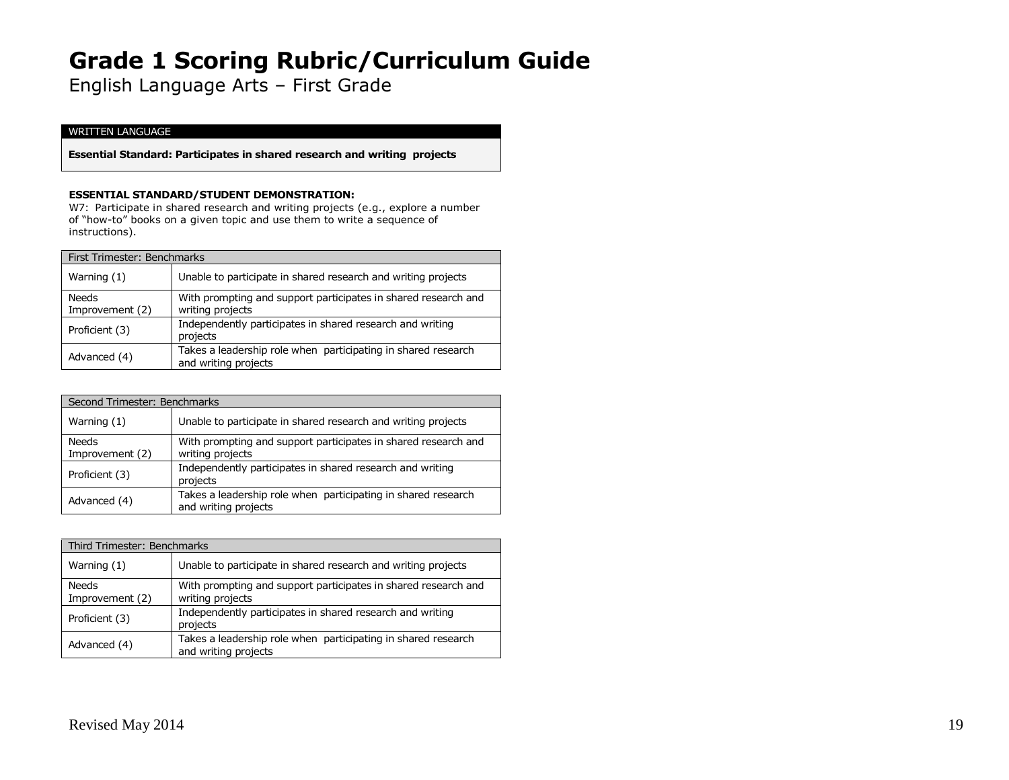English Language Arts – First Grade

#### WRITTEN LANGUAGE

**Essential Standard: Participates in shared research and writing projects**

#### **ESSENTIAL STANDARD/STUDENT DEMONSTRATION:**

W7: Participate in shared research and writing projects (e.g., explore a number of "how-to" books on a given topic and use them to write a sequence of instructions).

| First Trimester: Benchmarks     |                                                                                       |
|---------------------------------|---------------------------------------------------------------------------------------|
| Warning $(1)$                   | Unable to participate in shared research and writing projects                         |
| <b>Needs</b><br>Improvement (2) | With prompting and support participates in shared research and<br>writing projects    |
| Proficient (3)                  | Independently participates in shared research and writing<br>projects                 |
| Advanced (4)                    | Takes a leadership role when participating in shared research<br>and writing projects |

| Second Trimester: Benchmarks    |                                                                                       |
|---------------------------------|---------------------------------------------------------------------------------------|
| Warning $(1)$                   | Unable to participate in shared research and writing projects                         |
| <b>Needs</b><br>Improvement (2) | With prompting and support participates in shared research and<br>writing projects    |
| Proficient (3)                  | Independently participates in shared research and writing<br>projects                 |
| Advanced (4)                    | Takes a leadership role when participating in shared research<br>and writing projects |

| Third Trimester: Benchmarks     |                                                                                       |
|---------------------------------|---------------------------------------------------------------------------------------|
| Warning (1)                     | Unable to participate in shared research and writing projects                         |
| <b>Needs</b><br>Improvement (2) | With prompting and support participates in shared research and<br>writing projects    |
| Proficient (3)                  | Independently participates in shared research and writing<br>projects                 |
| Advanced (4)                    | Takes a leadership role when participating in shared research<br>and writing projects |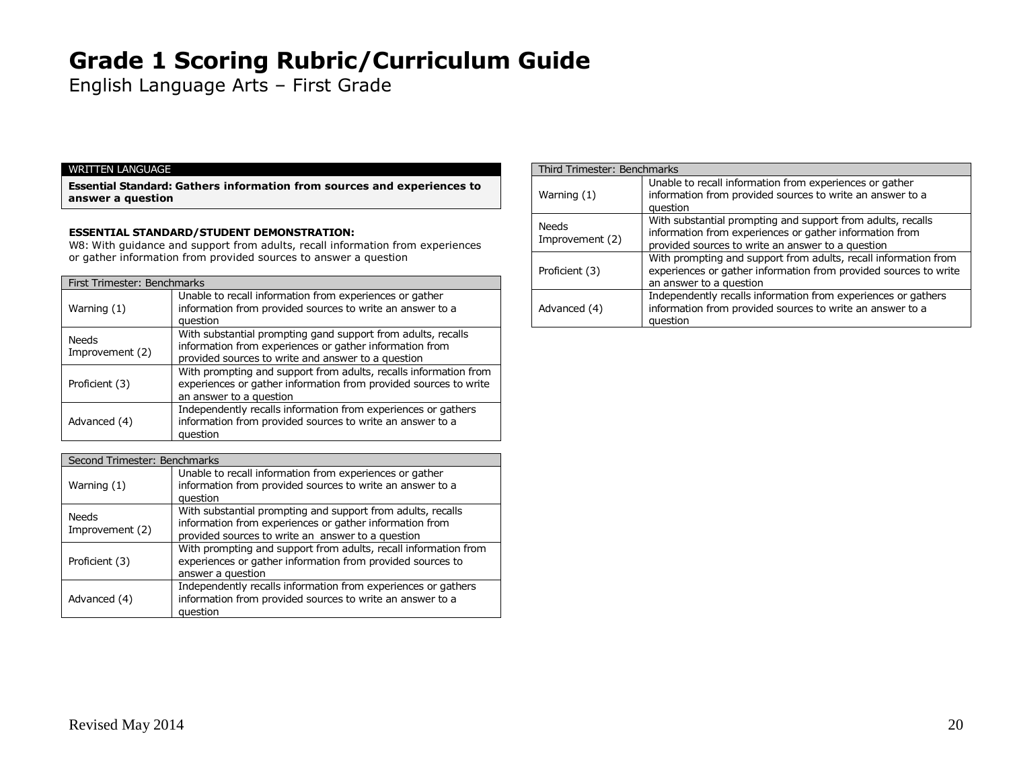English Language Arts – First Grade

#### WRITTEN LANGUAGE

**Essential Standard: Gathers information from sources and experiences to answer a question**

### **ESSENTIAL STANDARD/STUDENT DEMONSTRATION:**

W8: With guidance and support from adults, recall information from experiences or gather information from provided sources to answer a question

### First Trimester: Benchmarks Unable to recall information from experiences or gather

| Warning $(1)$                   | information from provided sources to write an answer to a<br>question                                                                                                         |
|---------------------------------|-------------------------------------------------------------------------------------------------------------------------------------------------------------------------------|
| <b>Needs</b><br>Improvement (2) | With substantial prompting gand support from adults, recalls<br>information from experiences or gather information from<br>provided sources to write and answer to a question |
| Proficient (3)                  | With prompting and support from adults, recalls information from<br>experiences or gather information from provided sources to write<br>an answer to a question               |
| Advanced (4)                    | Independently recalls information from experiences or gathers<br>information from provided sources to write an answer to a<br>question                                        |

| Second Trimester: Benchmarks    |                                                                                                                                                                             |
|---------------------------------|-----------------------------------------------------------------------------------------------------------------------------------------------------------------------------|
| Warning (1)                     | Unable to recall information from experiences or gather<br>information from provided sources to write an answer to a<br>question                                            |
| <b>Needs</b><br>Improvement (2) | With substantial prompting and support from adults, recalls<br>information from experiences or gather information from<br>provided sources to write an answer to a question |
| Proficient (3)                  | With prompting and support from adults, recall information from<br>experiences or gather information from provided sources to<br>answer a question                          |
| Advanced (4)                    | Independently recalls information from experiences or gathers<br>information from provided sources to write an answer to a<br>question                                      |

| Third Trimester: Benchmarks |                                                                                                                                                                             |
|-----------------------------|-----------------------------------------------------------------------------------------------------------------------------------------------------------------------------|
| Warning (1)                 | Unable to recall information from experiences or gather<br>information from provided sources to write an answer to a<br>question                                            |
| Needs<br>Improvement (2)    | With substantial prompting and support from adults, recalls<br>information from experiences or gather information from<br>provided sources to write an answer to a question |
| Proficient (3)              | With prompting and support from adults, recall information from<br>experiences or gather information from provided sources to write<br>an answer to a question              |
| Advanced (4)                | Independently recalls information from experiences or gathers<br>information from provided sources to write an answer to a<br>question                                      |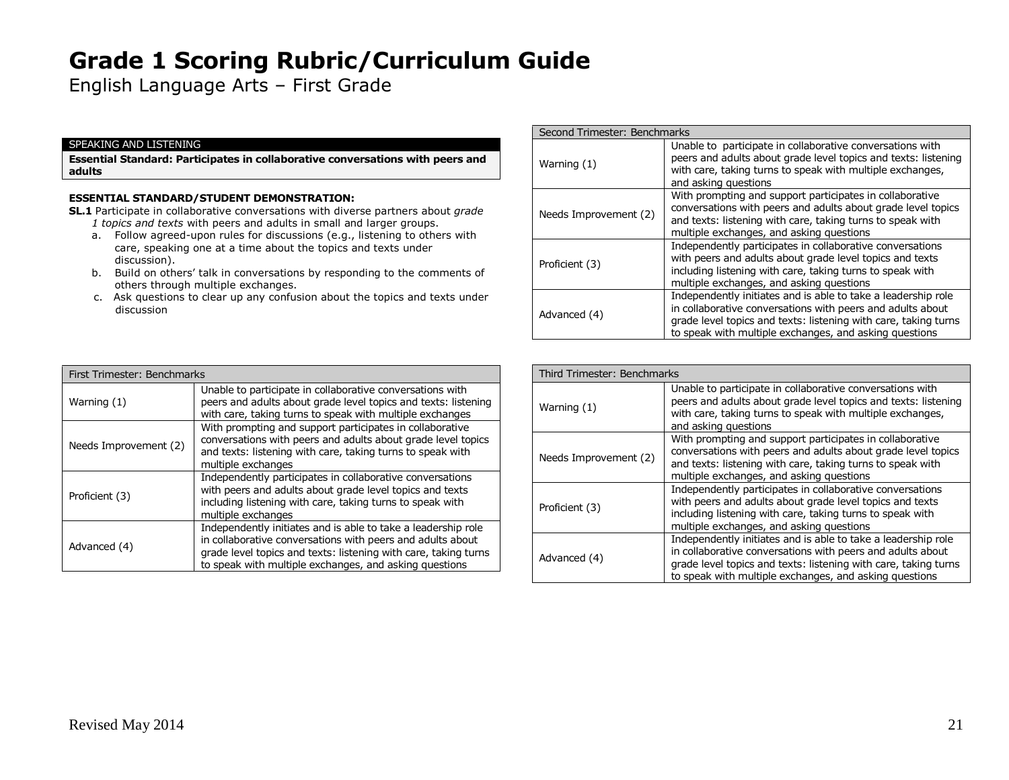English Language Arts – First Grade

#### SPEAKING AND LISTENING

**Essential Standard: Participates in collaborative conversations with peers and adults**

### **ESSENTIAL STANDARD/STUDENT DEMONSTRATION:**

**SL.1** Participate in collaborative conversations with diverse partners about *grade 1 topics and texts* with peers and adults in small and larger groups.

- a. Follow agreed-upon rules for discussions (e.g., listening to others with care, speaking one at a time about the topics and texts under discussion).
- b. Build on others' talk in conversations by responding to the comments of others through multiple exchanges.
- c. Ask questions to clear up any confusion about the topics and texts under discussion

|  | Second Trimester: Benchmarks |                                                                                                                                                                                                                                                          |
|--|------------------------------|----------------------------------------------------------------------------------------------------------------------------------------------------------------------------------------------------------------------------------------------------------|
|  | Warning (1)                  | Unable to participate in collaborative conversations with<br>peers and adults about grade level topics and texts: listening<br>with care, taking turns to speak with multiple exchanges,<br>and asking questions                                         |
|  | Needs Improvement (2)        | With prompting and support participates in collaborative<br>conversations with peers and adults about grade level topics<br>and texts: listening with care, taking turns to speak with<br>multiple exchanges, and asking questions                       |
|  | Proficient (3)               | Independently participates in collaborative conversations<br>with peers and adults about grade level topics and texts<br>including listening with care, taking turns to speak with<br>multiple exchanges, and asking questions                           |
|  | Advanced (4)                 | Independently initiates and is able to take a leadership role<br>in collaborative conversations with peers and adults about<br>grade level topics and texts: listening with care, taking turns<br>to speak with multiple exchanges, and asking questions |

| First Trimester: Benchmarks |                                                                                                                                                                                                                                                          |
|-----------------------------|----------------------------------------------------------------------------------------------------------------------------------------------------------------------------------------------------------------------------------------------------------|
| Warning (1)                 | Unable to participate in collaborative conversations with<br>peers and adults about grade level topics and texts: listening<br>with care, taking turns to speak with multiple exchanges                                                                  |
| Needs Improvement (2)       | With prompting and support participates in collaborative<br>conversations with peers and adults about grade level topics<br>and texts: listening with care, taking turns to speak with<br>multiple exchanges                                             |
| Proficient (3)              | Independently participates in collaborative conversations<br>with peers and adults about grade level topics and texts<br>including listening with care, taking turns to speak with<br>multiple exchanges                                                 |
| Advanced (4)                | Independently initiates and is able to take a leadership role<br>in collaborative conversations with peers and adults about<br>grade level topics and texts: listening with care, taking turns<br>to speak with multiple exchanges, and asking questions |

| Third Trimester: Benchmarks |                                                                                                                                                                                                                                                          |
|-----------------------------|----------------------------------------------------------------------------------------------------------------------------------------------------------------------------------------------------------------------------------------------------------|
| Warning (1)                 | Unable to participate in collaborative conversations with<br>peers and adults about grade level topics and texts: listening<br>with care, taking turns to speak with multiple exchanges,<br>and asking questions                                         |
| Needs Improvement (2)       | With prompting and support participates in collaborative<br>conversations with peers and adults about grade level topics<br>and texts: listening with care, taking turns to speak with<br>multiple exchanges, and asking questions                       |
| Proficient (3)              | Independently participates in collaborative conversations<br>with peers and adults about grade level topics and texts<br>including listening with care, taking turns to speak with<br>multiple exchanges, and asking questions                           |
| Advanced (4)                | Independently initiates and is able to take a leadership role<br>in collaborative conversations with peers and adults about<br>grade level topics and texts: listening with care, taking turns<br>to speak with multiple exchanges, and asking questions |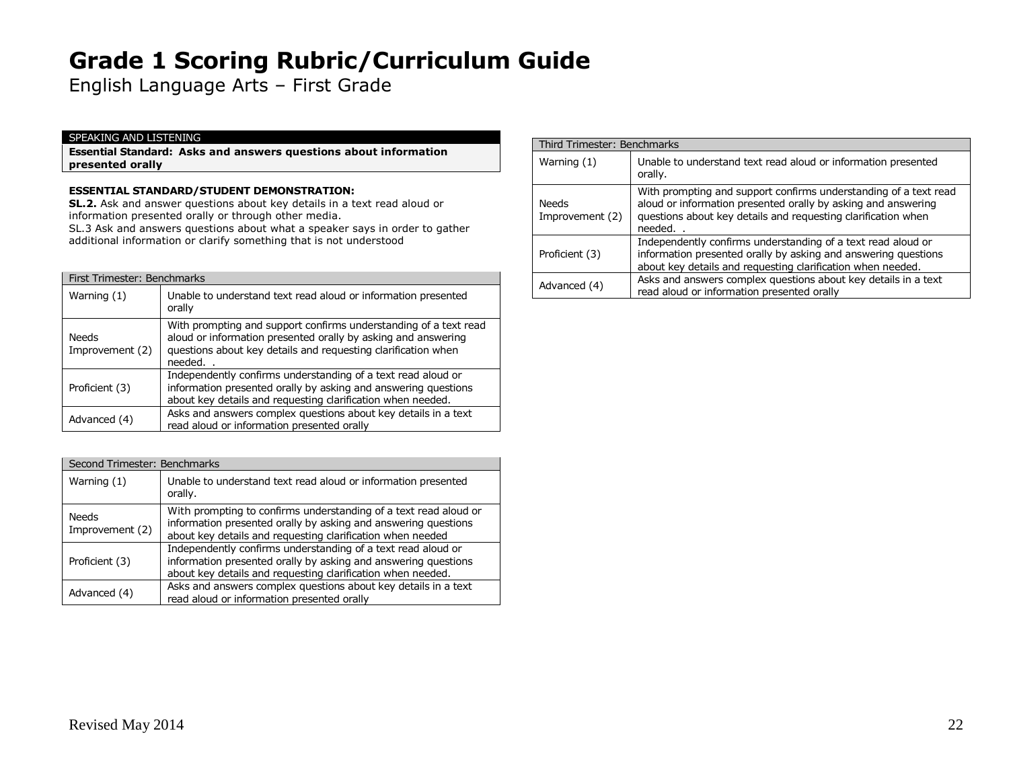English Language Arts – First Grade

#### SPEAKING AND LISTENING

**Essential Standard: Asks and answers questions about information presented orally**

### **ESSENTIAL STANDARD/STUDENT DEMONSTRATION:**

**SL.2.** Ask and answer questions about key details in a text read aloud or information presented orally or through other media.

SL.3 Ask and answers questions about what a speaker says in order to gather additional information or clarify something that is not understood

|                          | First Trimester: Benchmarks                                                                                                                                                                                  |  |
|--------------------------|--------------------------------------------------------------------------------------------------------------------------------------------------------------------------------------------------------------|--|
| Warning (1)              | Unable to understand text read aloud or information presented<br>orally                                                                                                                                      |  |
| Needs<br>Improvement (2) | With prompting and support confirms understanding of a text read<br>aloud or information presented orally by asking and answering<br>questions about key details and requesting clarification when<br>needed |  |
| Proficient (3)           | Independently confirms understanding of a text read aloud or<br>information presented orally by asking and answering questions<br>about key details and requesting clarification when needed.                |  |
| Advanced (4)             | Asks and answers complex questions about key details in a text<br>read aloud or information presented orally                                                                                                 |  |

| Second Trimester: Benchmarks    |                                                                                                                                                                                                  |
|---------------------------------|--------------------------------------------------------------------------------------------------------------------------------------------------------------------------------------------------|
| Warning $(1)$                   | Unable to understand text read aloud or information presented<br>orally.                                                                                                                         |
| <b>Needs</b><br>Improvement (2) | With prompting to confirms understanding of a text read aloud or<br>information presented orally by asking and answering questions<br>about key details and requesting clarification when needed |
| Proficient (3)                  | Independently confirms understanding of a text read aloud or<br>information presented orally by asking and answering questions<br>about key details and requesting clarification when needed.    |
| Advanced (4)                    | Asks and answers complex questions about key details in a text<br>read aloud or information presented orally                                                                                     |

| Third Trimester: Benchmarks     |                                                                                                                                                                                                              |
|---------------------------------|--------------------------------------------------------------------------------------------------------------------------------------------------------------------------------------------------------------|
| Warning (1)                     | Unable to understand text read aloud or information presented<br>orally.                                                                                                                                     |
| <b>Needs</b><br>Improvement (2) | With prompting and support confirms understanding of a text read<br>aloud or information presented orally by asking and answering<br>questions about key details and requesting clarification when<br>needed |
| Proficient (3)                  | Independently confirms understanding of a text read aloud or<br>information presented orally by asking and answering questions<br>about key details and requesting clarification when needed.                |
| Advanced (4)                    | Asks and answers complex questions about key details in a text<br>read aloud or information presented orally                                                                                                 |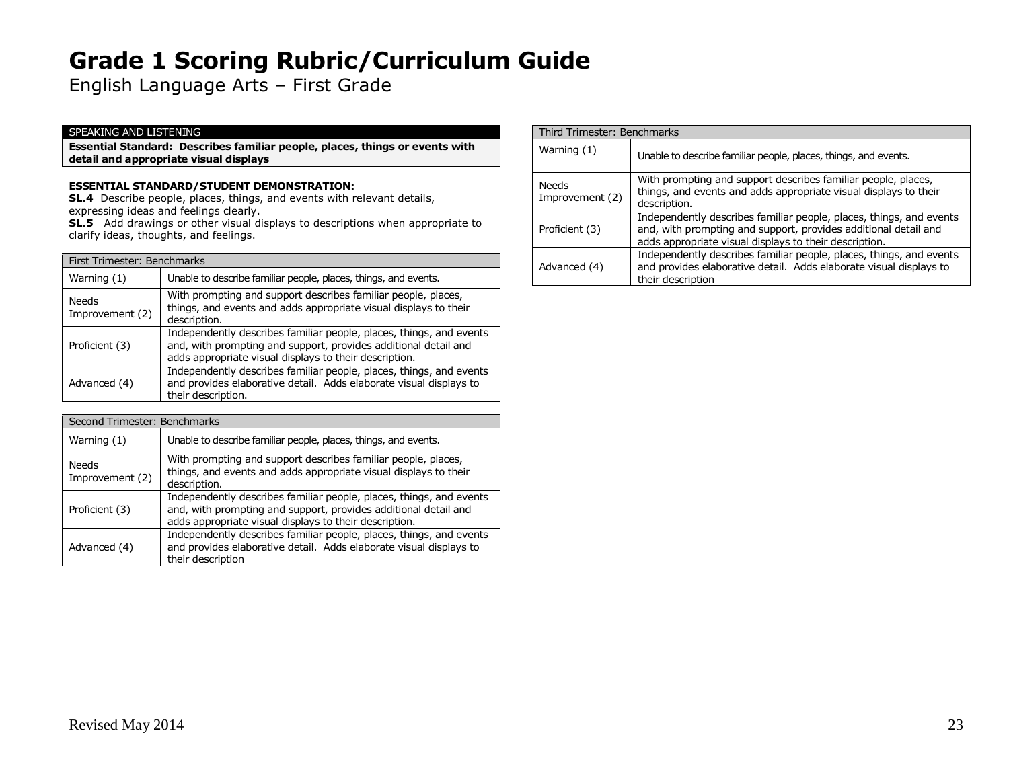English Language Arts – First Grade

#### SPEAKING AND LISTENING

**Essential Standard: Describes familiar people, places, things or events with detail and appropriate visual displays**

#### **ESSENTIAL STANDARD/STUDENT DEMONSTRATION:**

**SL.4** Describe people, places, things, and events with relevant details, expressing ideas and feelings clearly.

**SL.5** Add drawings or other visual displays to descriptions when appropriate to clarify ideas, thoughts, and feelings.

|                          | First Trimester: Benchmarks                                                                                                                                                                      |  |
|--------------------------|--------------------------------------------------------------------------------------------------------------------------------------------------------------------------------------------------|--|
| Warning $(1)$            | Unable to describe familiar people, places, things, and events.                                                                                                                                  |  |
| Needs<br>Improvement (2) | With prompting and support describes familiar people, places,<br>things, and events and adds appropriate visual displays to their<br>description.                                                |  |
| Proficient (3)           | Independently describes familiar people, places, things, and events<br>and, with prompting and support, provides additional detail and<br>adds appropriate visual displays to their description. |  |
| Advanced (4)             | Independently describes familiar people, places, things, and events<br>and provides elaborative detail. Adds elaborate visual displays to<br>their description.                                  |  |

|  | Second Trimester: Benchmarks |                                                                                                                                                                                                  |
|--|------------------------------|--------------------------------------------------------------------------------------------------------------------------------------------------------------------------------------------------|
|  | Warning (1)                  | Unable to describe familiar people, places, things, and events.                                                                                                                                  |
|  | Needs<br>Improvement (2)     | With prompting and support describes familiar people, places,<br>things, and events and adds appropriate visual displays to their<br>description.                                                |
|  | Proficient (3)               | Independently describes familiar people, places, things, and events<br>and, with prompting and support, provides additional detail and<br>adds appropriate visual displays to their description. |
|  | Advanced (4)                 | Independently describes familiar people, places, things, and events<br>and provides elaborative detail. Adds elaborate visual displays to<br>their description                                   |

| Third Trimester: Benchmarks |                                                                                                                                                                                                  |
|-----------------------------|--------------------------------------------------------------------------------------------------------------------------------------------------------------------------------------------------|
| Warning (1)                 | Unable to describe familiar people, places, things, and events.                                                                                                                                  |
| Needs<br>Improvement (2)    | With prompting and support describes familiar people, places,<br>things, and events and adds appropriate visual displays to their<br>description.                                                |
| Proficient (3)              | Independently describes familiar people, places, things, and events<br>and, with prompting and support, provides additional detail and<br>adds appropriate visual displays to their description. |
| Advanced (4)                | Independently describes familiar people, places, things, and events<br>and provides elaborative detail. Adds elaborate visual displays to<br>their description                                   |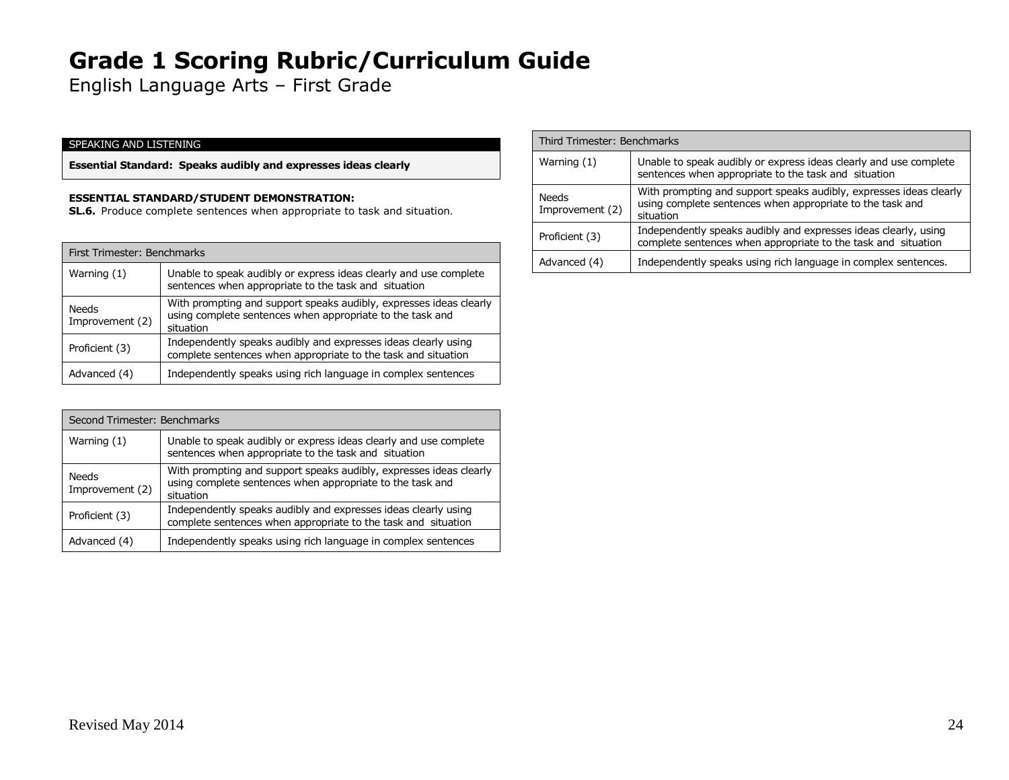English Language Arts – First Grade

### SPEAKING AND LISTENING

**Essential Standard: Speaks audibly and expresses ideas clearly**

### **ESSENTIAL STANDARD/STUDENT DEMONSTRATION:**

**SL.6.** Produce complete sentences when appropriate to task and situation.

|                                 | First Trimester: Benchmarks                                                                                                                  |  |
|---------------------------------|----------------------------------------------------------------------------------------------------------------------------------------------|--|
| Warning (1)                     | Unable to speak audibly or express ideas clearly and use complete<br>sentences when appropriate to the task and situation                    |  |
| <b>Needs</b><br>Improvement (2) | With prompting and support speaks audibly, expresses ideas clearly<br>using complete sentences when appropriate to the task and<br>situation |  |
| Proficient (3)                  | Independently speaks audibly and expresses ideas clearly using<br>complete sentences when appropriate to the task and situation              |  |
| Advanced (4)                    | Independently speaks using rich language in complex sentences                                                                                |  |

|  | Second Trimester: Benchmarks |                                                                                                                                              |
|--|------------------------------|----------------------------------------------------------------------------------------------------------------------------------------------|
|  | Warning $(1)$                | Unable to speak audibly or express ideas clearly and use complete<br>sentences when appropriate to the task and situation                    |
|  | Needs<br>Improvement (2)     | With prompting and support speaks audibly, expresses ideas clearly<br>using complete sentences when appropriate to the task and<br>situation |
|  | Proficient (3)               | Independently speaks audibly and expresses ideas clearly using<br>complete sentences when appropriate to the task and situation              |
|  | Advanced (4)                 | Independently speaks using rich language in complex sentences                                                                                |

| Third Trimester: Benchmarks |                                                                                                                                              |
|-----------------------------|----------------------------------------------------------------------------------------------------------------------------------------------|
| Warning $(1)$               | Unable to speak audibly or express ideas clearly and use complete<br>sentences when appropriate to the task and situation                    |
| Needs<br>Improvement (2)    | With prompting and support speaks audibly, expresses ideas clearly<br>using complete sentences when appropriate to the task and<br>situation |
| Proficient (3)              | Independently speaks audibly and expresses ideas clearly, using<br>complete sentences when appropriate to the task and situation             |
| Advanced (4)                | Independently speaks using rich language in complex sentences.                                                                               |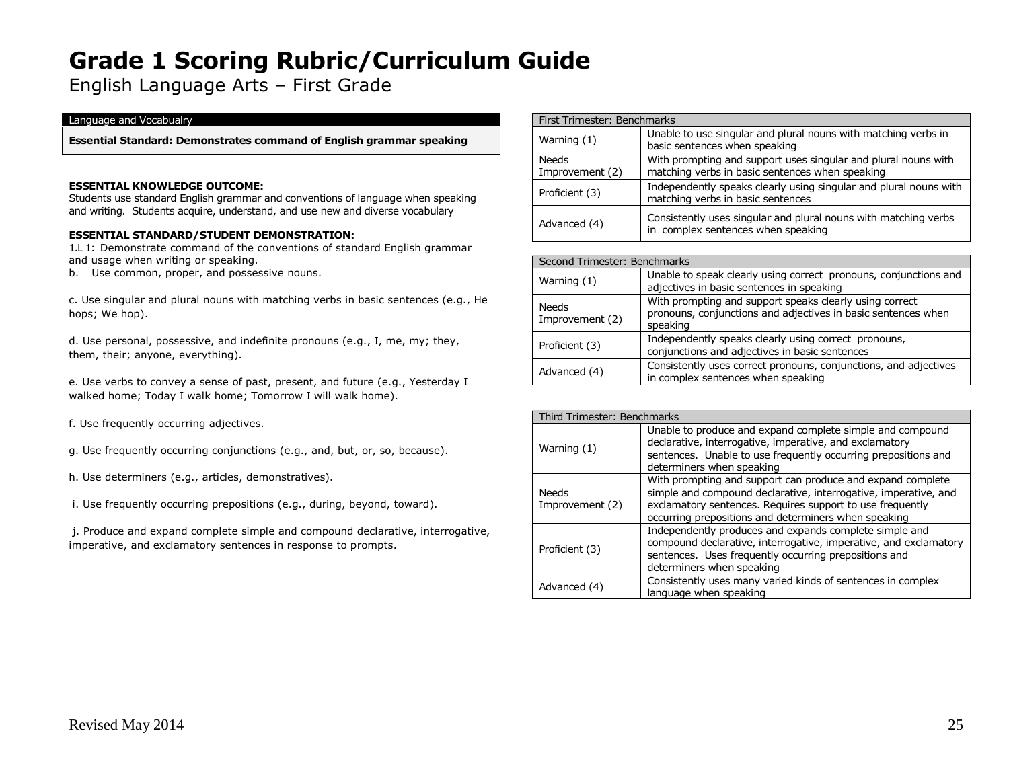English Language Arts – First Grade

#### Language and Vocabualry

**Essential Standard: Demonstrates command of English grammar speaking**

#### **ESSENTIAL KNOWLEDGE OUTCOME:**

Students use standard English grammar and conventions of language when speaking and writing. Students acquire, understand, and use new and diverse vocabulary

### **ESSENTIAL STANDARD/STUDENT DEMONSTRATION:**

1.L 1: Demonstrate command of the conventions of standard English grammar and usage when writing or speaking.

b. Use common, proper, and possessive nouns.

c. Use singular and plural nouns with matching verbs in basic sentences (e.g., He hops; We hop).

d. Use personal, possessive, and indefinite pronouns (e.g., I, me, my; they, them, their; anyone, everything).

e. Use verbs to convey a sense of past, present, and future (e.g., Yesterday I walked home; Today I walk home; Tomorrow I will walk home).

f. Use frequently occurring adjectives.

- g. Use frequently occurring conjunctions (e.g., and, but, or, so, because).
- h. Use determiners (e.g., articles, demonstratives).
- i. Use frequently occurring prepositions (e.g., during, beyond, toward).
- j. Produce and expand complete simple and compound declarative, interrogative, imperative, and exclamatory sentences in response to prompts.

|                          | First Trimester: Benchmarks                                                                                       |  |
|--------------------------|-------------------------------------------------------------------------------------------------------------------|--|
| Warning $(1)$            | Unable to use singular and plural nouns with matching verbs in<br>basic sentences when speaking                   |  |
| Needs<br>Improvement (2) | With prompting and support uses singular and plural nouns with<br>matching verbs in basic sentences when speaking |  |
| Proficient (3)           | Independently speaks clearly using singular and plural nouns with<br>matching verbs in basic sentences            |  |
| Advanced (4)             | Consistently uses singular and plural nouns with matching verbs<br>in complex sentences when speaking             |  |

| Second Trimester: Benchmarks |                                                                                                                                      |
|------------------------------|--------------------------------------------------------------------------------------------------------------------------------------|
| Warning $(1)$                | Unable to speak clearly using correct pronouns, conjunctions and<br>adjectives in basic sentences in speaking                        |
| Needs<br>Improvement (2)     | With prompting and support speaks clearly using correct<br>pronouns, conjunctions and adjectives in basic sentences when<br>speaking |
| Proficient (3)               | Independently speaks clearly using correct pronouns,<br>conjunctions and adjectives in basic sentences                               |
| Advanced (4)                 | Consistently uses correct pronouns, conjunctions, and adjectives<br>in complex sentences when speaking                               |

| Third Trimester: Benchmarks     |                                                                                                                                                                                                                                                    |
|---------------------------------|----------------------------------------------------------------------------------------------------------------------------------------------------------------------------------------------------------------------------------------------------|
| Warning (1)                     | Unable to produce and expand complete simple and compound<br>declarative, interrogative, imperative, and exclamatory<br>sentences. Unable to use frequently occurring prepositions and<br>determiners when speaking                                |
| <b>Needs</b><br>Improvement (2) | With prompting and support can produce and expand complete<br>simple and compound declarative, interrogative, imperative, and<br>exclamatory sentences. Requires support to use frequently<br>occurring prepositions and determiners when speaking |
| Proficient (3)                  | Independently produces and expands complete simple and<br>compound declarative, interrogative, imperative, and exclamatory<br>sentences. Uses frequently occurring prepositions and<br>determiners when speaking                                   |
| Advanced (4)                    | Consistently uses many varied kinds of sentences in complex<br>language when speaking                                                                                                                                                              |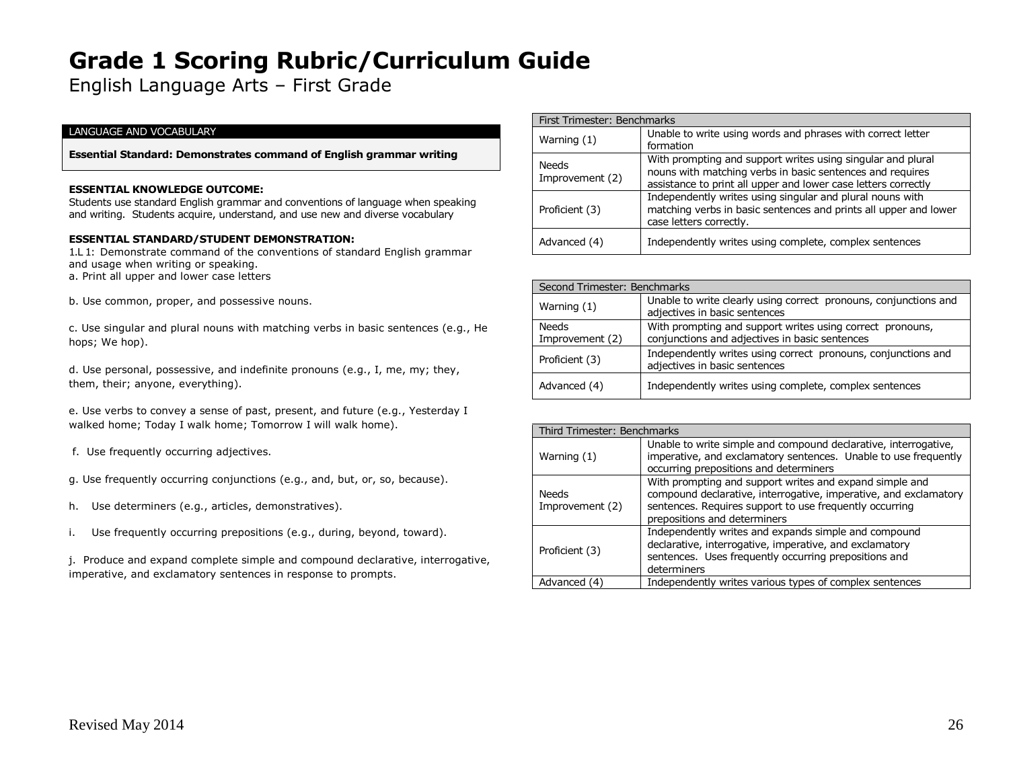English Language Arts – First Grade

#### LANGUAGE AND VOCABULARY

**Essential Standard: Demonstrates command of English grammar writing**

#### **ESSENTIAL KNOWLEDGE OUTCOME:**

Students use standard English grammar and conventions of language when speaking and writing. Students acquire, understand, and use new and diverse vocabulary

#### **ESSENTIAL STANDARD/STUDENT DEMONSTRATION:**

1.L 1: Demonstrate command of the conventions of standard English grammar and usage when writing or speaking. a. Print all upper and lower case letters

b. Use common, proper, and possessive nouns.

c. Use singular and plural nouns with matching verbs in basic sentences (e.g., He hops; We hop).

d. Use personal, possessive, and indefinite pronouns (e.g., I, me, my; they, them, their; anyone, everything).

e. Use verbs to convey a sense of past, present, and future (e.g., Yesterday I walked home; Today I walk home; Tomorrow I will walk home).

f. Use frequently occurring adjectives.

g. Use frequently occurring conjunctions (e.g., and, but, or, so, because).

- h. Use determiners (e.g., articles, demonstratives).
- i. Use frequently occurring prepositions (e.g., during, beyond, toward).

j. Produce and expand complete simple and compound declarative, interrogative, imperative, and exclamatory sentences in response to prompts.

| First Trimester: Benchmarks     |                                                                                                                                                                                            |
|---------------------------------|--------------------------------------------------------------------------------------------------------------------------------------------------------------------------------------------|
| Warning $(1)$                   | Unable to write using words and phrases with correct letter<br>formation                                                                                                                   |
| <b>Needs</b><br>Improvement (2) | With prompting and support writes using singular and plural<br>nouns with matching verbs in basic sentences and requires<br>assistance to print all upper and lower case letters correctly |
| Proficient (3)                  | Independently writes using singular and plural nouns with<br>matching verbs in basic sentences and prints all upper and lower<br>case letters correctly.                                   |
| Advanced (4)                    | Independently writes using complete, complex sentences                                                                                                                                     |

| Second Trimester: Benchmarks    |                                                                                                             |
|---------------------------------|-------------------------------------------------------------------------------------------------------------|
| Warning (1)                     | Unable to write clearly using correct pronouns, conjunctions and<br>adjectives in basic sentences           |
| <b>Needs</b><br>Improvement (2) | With prompting and support writes using correct pronouns,<br>conjunctions and adjectives in basic sentences |
| Proficient (3)                  | Independently writes using correct pronouns, conjunctions and<br>adjectives in basic sentences              |
| Advanced (4)                    | Independently writes using complete, complex sentences                                                      |

| Third Trimester: Benchmarks |                                                                                                                                                                                                                        |
|-----------------------------|------------------------------------------------------------------------------------------------------------------------------------------------------------------------------------------------------------------------|
| Warning $(1)$               | Unable to write simple and compound declarative, interrogative,<br>imperative, and exclamatory sentences. Unable to use frequently<br>occurring prepositions and determiners                                           |
| Needs<br>Improvement (2)    | With prompting and support writes and expand simple and<br>compound declarative, interrogative, imperative, and exclamatory<br>sentences. Requires support to use frequently occurring<br>prepositions and determiners |
| Proficient (3)              | Independently writes and expands simple and compound<br>declarative, interrogative, imperative, and exclamatory<br>sentences. Uses frequently occurring prepositions and<br>determiners                                |
| Advanced (4)                | Independently writes various types of complex sentences                                                                                                                                                                |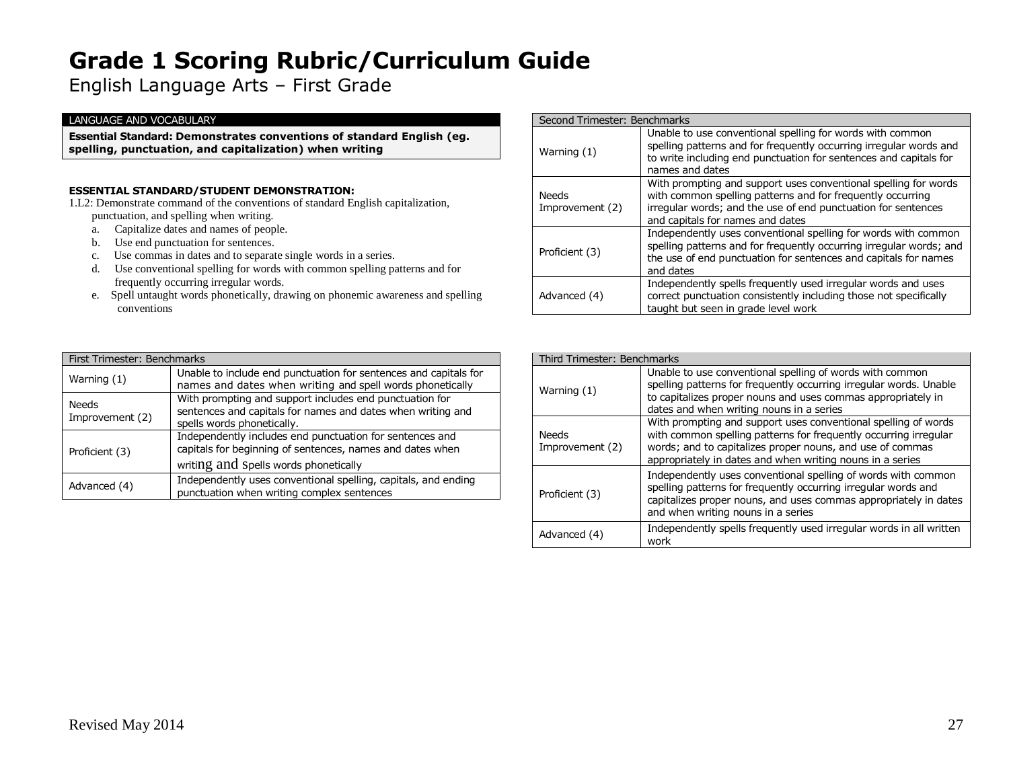English Language Arts – First Grade

#### LANGUAGE AND VOCABULARY

**Essential Standard: Demonstrates conventions of standard English (eg. spelling, punctuation, and capitalization) when writing**

### **ESSENTIAL STANDARD/STUDENT DEMONSTRATION:**

1.L2: Demonstrate command of the conventions of standard English capitalization, punctuation, and spelling when writing.

- a. Capitalize dates and names of people.
- b. Use end punctuation for sentences.
- c. Use commas in dates and to separate single words in a series.
- d. Use conventional spelling for words with common spelling patterns and for frequently occurring irregular words.
- e. Spell untaught words phonetically, drawing on phonemic awareness and spelling conventions

| Second Trimester: Benchmarks    |                                                                                                                                                                                                                                    |
|---------------------------------|------------------------------------------------------------------------------------------------------------------------------------------------------------------------------------------------------------------------------------|
| Warning (1)                     | Unable to use conventional spelling for words with common<br>spelling patterns and for frequently occurring irregular words and<br>to write including end punctuation for sentences and capitals for<br>names and dates            |
| <b>Needs</b><br>Improvement (2) | With prompting and support uses conventional spelling for words<br>with common spelling patterns and for frequently occurring<br>irregular words; and the use of end punctuation for sentences<br>and capitals for names and dates |
| Proficient (3)                  | Independently uses conventional spelling for words with common<br>spelling patterns and for frequently occurring irregular words; and<br>the use of end punctuation for sentences and capitals for names<br>and dates              |
| Advanced (4)                    | Independently spells frequently used irregular words and uses<br>correct punctuation consistently including those not specifically<br>taught but seen in grade level work                                                          |

| First Trimester: Benchmarks |                                                                                                                                                                |
|-----------------------------|----------------------------------------------------------------------------------------------------------------------------------------------------------------|
| Warning (1)                 | Unable to include end punctuation for sentences and capitals for<br>names and dates when writing and spell words phonetically                                  |
| Needs<br>Improvement (2)    | With prompting and support includes end punctuation for<br>sentences and capitals for names and dates when writing and<br>spells words phonetically.           |
| Proficient (3)              | Independently includes end punctuation for sentences and<br>capitals for beginning of sentences, names and dates when<br>writing and spells words phonetically |
| Advanced (4)                | Independently uses conventional spelling, capitals, and ending<br>punctuation when writing complex sentences                                                   |

| Third Trimester: Benchmarks |                                                                                                                                                                                                                                                              |
|-----------------------------|--------------------------------------------------------------------------------------------------------------------------------------------------------------------------------------------------------------------------------------------------------------|
| Warning (1)                 | Unable to use conventional spelling of words with common<br>spelling patterns for frequently occurring irregular words. Unable<br>to capitalizes proper nouns and uses commas appropriately in<br>dates and when writing nouns in a series                   |
| Needs<br>Improvement (2)    | With prompting and support uses conventional spelling of words<br>with common spelling patterns for frequently occurring irregular<br>words; and to capitalizes proper nouns, and use of commas<br>appropriately in dates and when writing nouns in a series |
| Proficient (3)              | Independently uses conventional spelling of words with common<br>spelling patterns for frequently occurring irregular words and<br>capitalizes proper nouns, and uses commas appropriately in dates<br>and when writing nouns in a series                    |
| Advanced (4)                | Independently spells frequently used irregular words in all written<br>work                                                                                                                                                                                  |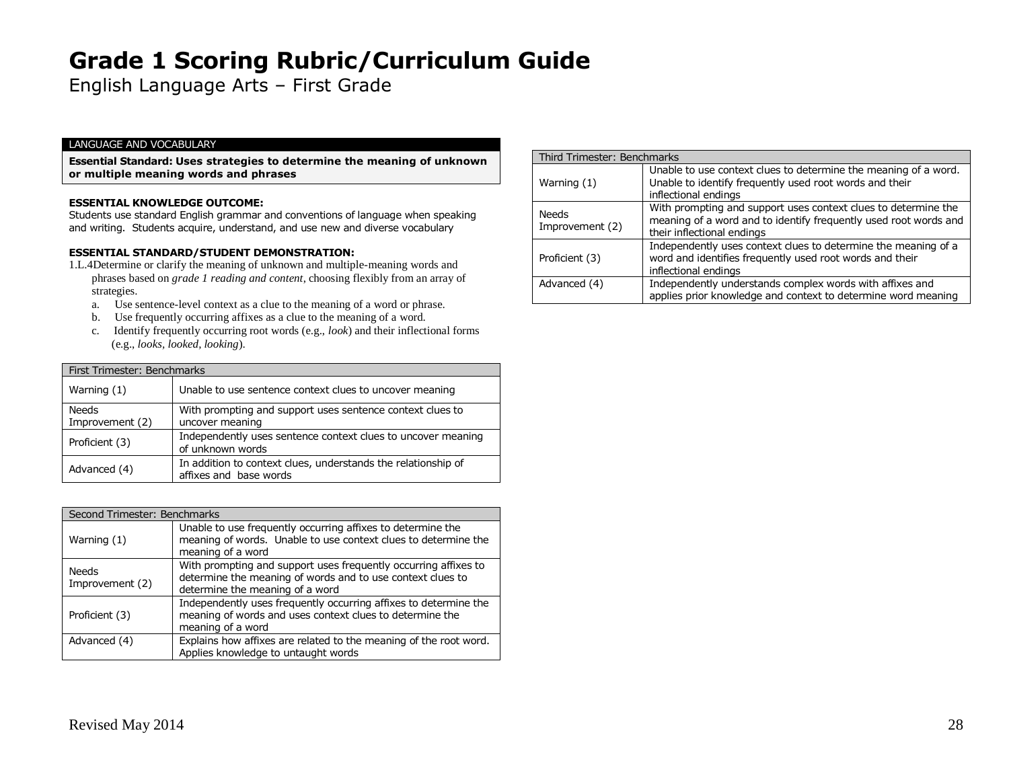English Language Arts – First Grade

#### LANGUAGE AND VOCABULARY

**Essential Standard: Uses strategies to determine the meaning of unknown or multiple meaning words and phrases**

#### **ESSENTIAL KNOWLEDGE OUTCOME:**

Students use standard English grammar and conventions of language when speaking and writing. Students acquire, understand, and use new and diverse vocabulary

#### **ESSENTIAL STANDARD/STUDENT DEMONSTRATION:**

- 1.L.4Determine or clarify the meaning of unknown and multiple-meaning words and phrases based on *grade 1 reading and content*, choosing flexibly from an array of strategies.
	- a. Use sentence-level context as a clue to the meaning of a word or phrase.
	- b. Use frequently occurring affixes as a clue to the meaning of a word.
	- c. Identify frequently occurring root words (e.g., *look*) and their inflectional forms (e.g., *looks, looked, looking*).

| First Trimester: Benchmarks     |                                                                                         |
|---------------------------------|-----------------------------------------------------------------------------------------|
| Warning $(1)$                   | Unable to use sentence context clues to uncover meaning                                 |
| <b>Needs</b><br>Improvement (2) | With prompting and support uses sentence context clues to<br>uncover meaning            |
| Proficient (3)                  | Independently uses sentence context clues to uncover meaning<br>of unknown words        |
| Advanced (4)                    | In addition to context clues, understands the relationship of<br>affixes and base words |

| Second Trimester: Benchmarks |                                                                                                                                                                  |
|------------------------------|------------------------------------------------------------------------------------------------------------------------------------------------------------------|
| Warning (1)                  | Unable to use frequently occurring affixes to determine the<br>meaning of words. Unable to use context clues to determine the<br>meaning of a word               |
| Needs<br>Improvement (2)     | With prompting and support uses frequently occurring affixes to<br>determine the meaning of words and to use context clues to<br>determine the meaning of a word |
| Proficient (3)               | Independently uses frequently occurring affixes to determine the<br>meaning of words and uses context clues to determine the<br>meaning of a word                |
| Advanced (4)                 | Explains how affixes are related to the meaning of the root word.<br>Applies knowledge to untaught words                                                         |

| Third Trimester: Benchmarks     |                                                                                                                                                                  |  |
|---------------------------------|------------------------------------------------------------------------------------------------------------------------------------------------------------------|--|
| Warning $(1)$                   | Unable to use context clues to determine the meaning of a word.<br>Unable to identify frequently used root words and their<br>inflectional endings               |  |
| <b>Needs</b><br>Improvement (2) | With prompting and support uses context clues to determine the<br>meaning of a word and to identify frequently used root words and<br>their inflectional endings |  |
| Proficient (3)                  | Independently uses context clues to determine the meaning of a<br>word and identifies frequently used root words and their<br>inflectional endings               |  |
| Advanced (4)                    | Independently understands complex words with affixes and<br>applies prior knowledge and context to determine word meaning                                        |  |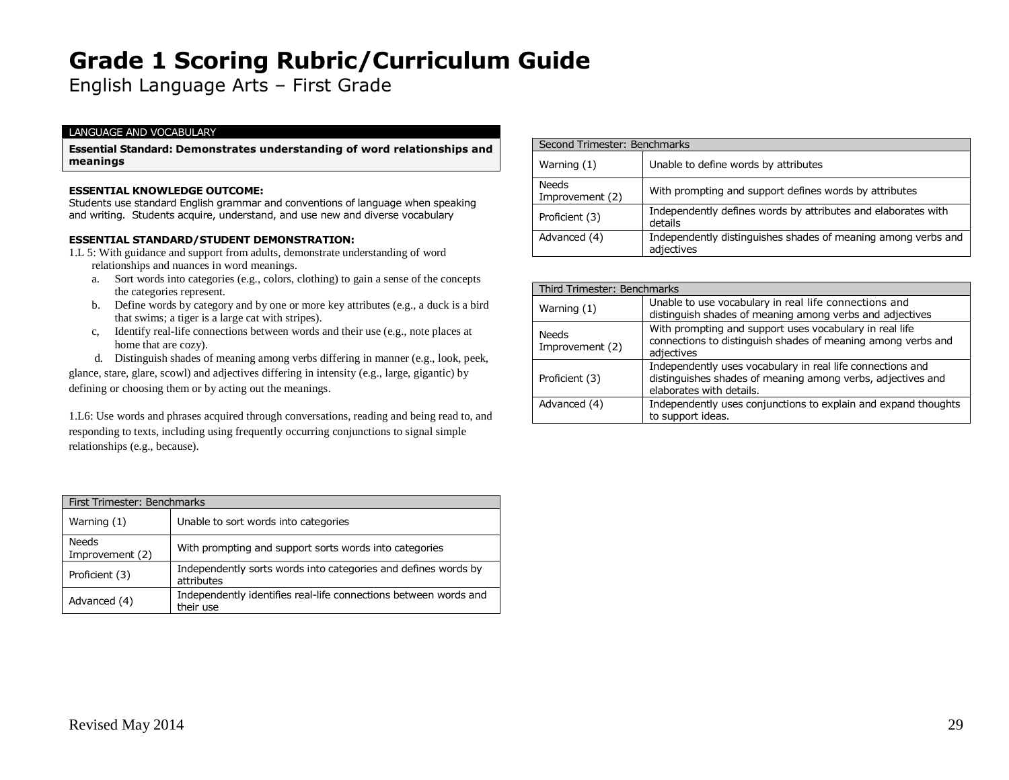English Language Arts – First Grade

#### LANGUAGE AND VOCABULARY

**Essential Standard: Demonstrates understanding of word relationships and meanings**

#### **ESSENTIAL KNOWLEDGE OUTCOME:**

Students use standard English grammar and conventions of language when speaking and writing. Students acquire, understand, and use new and diverse vocabulary

#### **ESSENTIAL STANDARD/STUDENT DEMONSTRATION:**

- 1.L 5: With guidance and support from adults, demonstrate understanding of word relationships and nuances in word meanings.
	- a. Sort words into categories (e.g., colors, clothing) to gain a sense of the concepts the categories represent.
	- b. Define words by category and by one or more key attributes (e.g., a duck is a bird that swims; a tiger is a large cat with stripes).
	- c, Identify real-life connections between words and their use (e.g., note places at home that are cozy).
	- d. Distinguish shades of meaning among verbs differing in manner (e.g., look, peek,

glance, stare, glare, scowl) and adjectives differing in intensity (e.g., large, gigantic) by defining or choosing them or by acting out the meanings.

1.L6: Use words and phrases acquired through conversations, reading and being read to, and responding to texts, including using frequently occurring conjunctions to signal simple relationships (e.g., because).

| First Trimester: Benchmarks |                                                                               |  |
|-----------------------------|-------------------------------------------------------------------------------|--|
| Warning $(1)$               | Unable to sort words into categories                                          |  |
| Needs<br>Improvement (2)    | With prompting and support sorts words into categories                        |  |
| Proficient (3)              | Independently sorts words into categories and defines words by<br>attributes  |  |
| Advanced (4)                | Independently identifies real-life connections between words and<br>their use |  |

| Second Trimester: Benchmarks    |                                                                             |  |
|---------------------------------|-----------------------------------------------------------------------------|--|
| Warning $(1)$                   | Unable to define words by attributes                                        |  |
| <b>Needs</b><br>Improvement (2) | With prompting and support defines words by attributes                      |  |
| Proficient (3)                  | Independently defines words by attributes and elaborates with<br>details    |  |
| Advanced (4)                    | Independently distinguishes shades of meaning among verbs and<br>adjectives |  |

| Third Trimester: Benchmarks |                                                                                                                                                       |  |
|-----------------------------|-------------------------------------------------------------------------------------------------------------------------------------------------------|--|
| Warning (1)                 | Unable to use vocabulary in real life connections and<br>distinguish shades of meaning among verbs and adjectives                                     |  |
| Needs<br>Improvement (2)    | With prompting and support uses vocabulary in real life<br>connections to distinguish shades of meaning among verbs and<br>adjectives                 |  |
| Proficient (3)              | Independently uses vocabulary in real life connections and<br>distinguishes shades of meaning among verbs, adjectives and<br>elaborates with details. |  |
| Advanced (4)                | Independently uses conjunctions to explain and expand thoughts<br>to support ideas.                                                                   |  |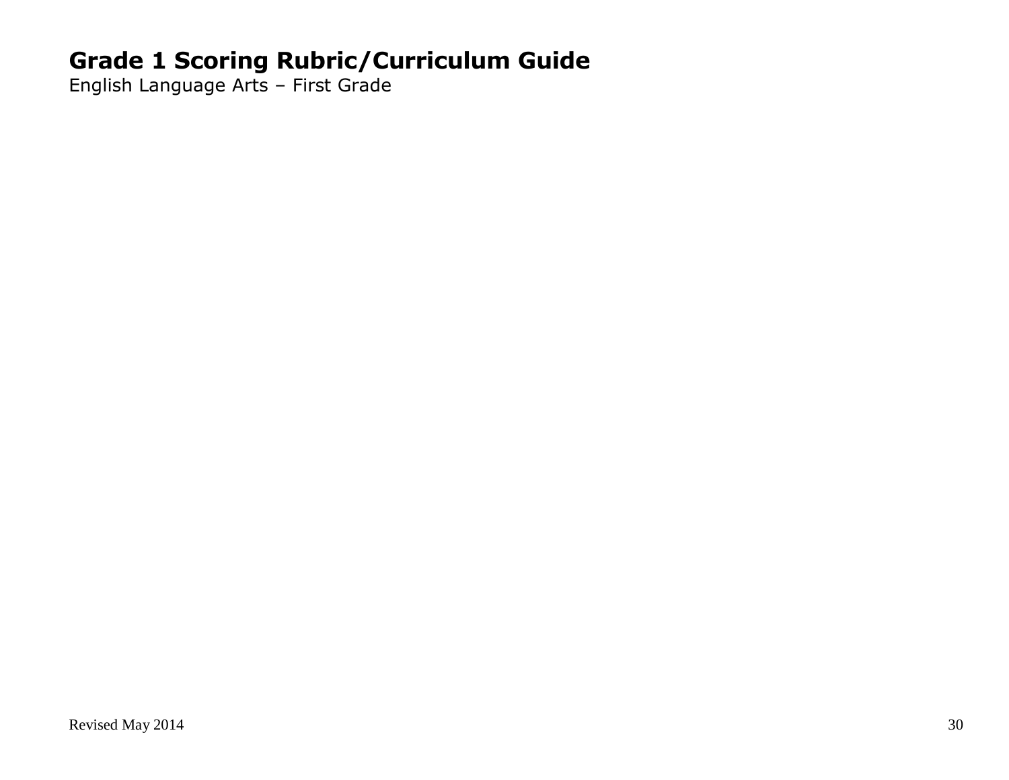English Language Arts – First Grade